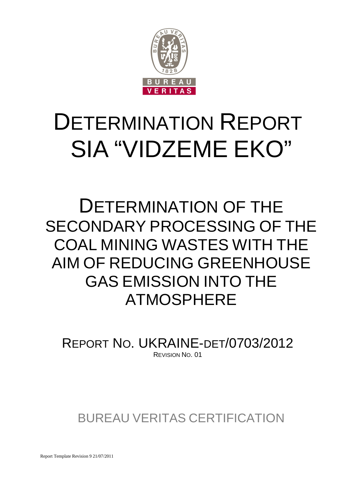

# DETERMINATION REPORT SIA "VIDZEME EKO"

# DETERMINATION OF THE SECONDARY PROCESSING OF THE COAL MINING WASTES WITH THE AIM OF REDUCING GREENHOUSE GAS EMISSION INTO THE ATMOSPHERE

REPORT NO. UKRAINE-DET/0703/2012 REVISION NO. 01

BUREAU VERITAS CERTIFICATION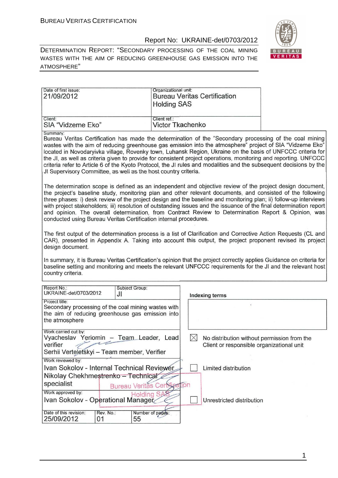

DETERMINATION REPORT: "SECONDARY PROCESSING OF THE COAL MINING WASTES WITH THE AIM OF REDUCING GREENHOUSE GAS EMISSION INTO THE ATMOSPHERE"

| Date of first issue:<br>21/09/2012 | Organizational unit:<br><b>Bureau Veritas Certification</b><br><b>Holding SAS</b> |
|------------------------------------|-----------------------------------------------------------------------------------|
| Client:                            | Client ref.:                                                                      |
| SIA "Vidzeme Eko"                  | Victor Tkachenko                                                                  |

Summary

Bureau Veritas Certification has made the determination of the "Secondary processing of the coal mining wastes with the aim of reducing greenhouse gas emission into the atmosphere" project of SIA "Vidzeme Eko" located in Novodarvivka village. Rovenky town, Luhansk Region, Ukraine on the basis of UNFCCC criteria for the JI, as well as criteria given to provide for consistent project operations, monitoring and reporting. UNFCCC criteria refer to Article 6 of the Kyoto Protocol, the JI rules and modalities and the subsequent decisions by the JI Supervisory Committee, as well as the host country criteria.

The determination scope is defined as an independent and objective review of the project design document. the project's baseline study, monitoring plan and other relevant documents, and consisted of the following three phases: i) desk review of the project design and the baseline and monitoring plan; ii) follow-up interviews with project stakeholders; iii) resolution of outstanding issues and the issuance of the final determination report and opinion. The overall determination, from Contract Review to Determination Report & Opinion, was conducted using Bureau Veritas Certification internal procedures.

The first output of the determination process is a list of Clarification and Corrective Action Requests (CL and CAR), presented in Appendix A. Taking into account this output, the project proponent revised its project design document.

In summary, it is Bureau Veritas Certification's opinion that the project correctly applies Guidance on criteria for baseline setting and monitoring and meets the relevant UNFCCC requirements for the JI and the relevant host country criteria.

| Report No.:<br>UKRAINE-det/0703/2012                                                                                                        | JI              | Subject Group:                                       |       | Indexing terms |                                                                                          |  |  |  |  |
|---------------------------------------------------------------------------------------------------------------------------------------------|-----------------|------------------------------------------------------|-------|----------------|------------------------------------------------------------------------------------------|--|--|--|--|
| Project title:<br>Secondary processing of the coal mining wastes with<br>the aim of reducing greenhouse gas emission into<br>the atmosphere |                 |                                                      |       |                |                                                                                          |  |  |  |  |
| Work carried out by:<br>Vyacheslav Yeriomin - Team Leader, Lead<br>verifier<br>Serhii Verteletskyi - Team member, Verifier                  |                 |                                                      |       |                | No distribution without permission from the<br>Client or responsible organizational unit |  |  |  |  |
| Work reviewed by:<br>Ivan Sokolov - Internal Technical Reviewer<br>Nikolay Chekhmestrenko - Technical                                       |                 |                                                      |       |                | Limited distribution                                                                     |  |  |  |  |
| specialist<br>Work approved by:<br>Ivan Sokolov - Operational Manager                                                                       |                 | <b>Bureau Veritas Certifier</b><br><b>Holding SA</b> | ation |                | Unrestricted distribution                                                                |  |  |  |  |
| Date of this revision:<br>25/09/2012                                                                                                        | Rev. No.:<br>01 | Number of pages:<br>55                               |       |                |                                                                                          |  |  |  |  |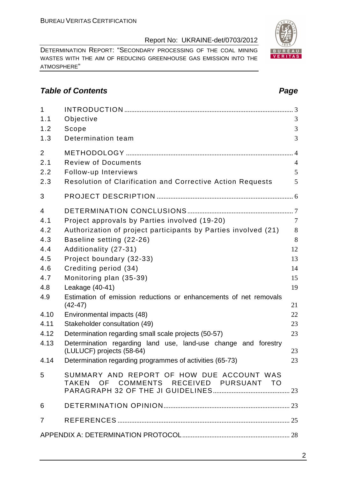DETERMINATION REPORT: "SECONDARY PROCESSING OF THE COAL MINING WASTES WITH THE AIM OF REDUCING GREENHOUSE GAS EMISSION INTO THE ATMOSPHERE"

# **Table of Contents Page 2014**

| $\mathbf{1}$   |                                                                                     |                |
|----------------|-------------------------------------------------------------------------------------|----------------|
| 1.1            | Objective                                                                           | 3              |
| 1.2            | Scope                                                                               | 3              |
| 1.3            | Determination team                                                                  | 3              |
| $\overline{2}$ |                                                                                     | $\overline{4}$ |
| 2.1            | <b>Review of Documents</b>                                                          | $\overline{4}$ |
| 2.2            | Follow-up Interviews                                                                | 5              |
| 2.3            | <b>Resolution of Clarification and Corrective Action Requests</b>                   | 5              |
| 3              |                                                                                     |                |
| $\overline{4}$ |                                                                                     |                |
| 4.1            | Project approvals by Parties involved (19-20)                                       | $\overline{7}$ |
| 4.2            | Authorization of project participants by Parties involved (21)                      | 8              |
| 4.3            | Baseline setting (22-26)                                                            | 8              |
| 4.4            | Additionality (27-31)                                                               | 12             |
| 4.5            | Project boundary (32-33)                                                            | 13             |
| 4.6            | Crediting period (34)                                                               | 14             |
| 4.7            | Monitoring plan (35-39)                                                             | 15             |
| 4.8            | Leakage (40-41)                                                                     | 19             |
| 4.9            | Estimation of emission reductions or enhancements of net removals<br>$(42-47)$      | 21             |
| 4.10           | Environmental impacts (48)                                                          | 22             |
| 4.11           | Stakeholder consultation (49)                                                       | 23             |
| 4.12           | Determination regarding small scale projects (50-57)                                | 23             |
| 4.13           | Determination regarding land use, land-use change and forestry                      |                |
|                | (LULUCF) projects (58-64)                                                           | 23             |
| 4.14           | Determination regarding programmes of activities (65-73)                            | 23             |
| 5              | SUMMARY AND REPORT OF HOW DUE ACCOUNT WAS<br>TAKEN OF COMMENTS RECEIVED PURSUANT TO |                |
| 6              |                                                                                     |                |
| $\overline{7}$ |                                                                                     |                |
|                |                                                                                     |                |

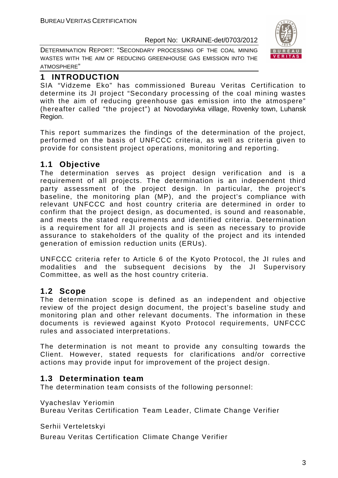DETERMINATION REPORT: "SECONDARY PROCESSING OF THE COAL MINING WASTES WITH THE AIM OF REDUCING GREENHOUSE GAS EMISSION INTO THE ATMOSPHERE"



# **1 INTRODUCTION**

SIA "Vidzeme Eko" has commissioned Bureau Veritas Certification to determine its JI project "Secondary processing of the coal mining wastes with the aim of reducing greenhouse gas emission into the atmospere" (hereafter called "the project") at Novodaryivka village, Rovenky town, Luhansk Region.

This report summarizes the findings of the determination of the project, performed on the basis of UNFCCC criteria, as well as criteria given to provide for consistent project operations, monitoring and reporting.

# **1.1 Objective**

The determination serves as project design verification and is a requirement of all projects. The determination is an independent third party assessment of the project design. In particular, the project's baseline, the monitoring plan (MP), and the project's compliance with relevant UNFCCC and host country criteria are determined in order to confirm that the project design, as documented, is sound and reasonable, and meets the stated requirements and identified criteria. Determination is a requirement for all JI projects and is seen as necessary to provide assurance to stakeholders of the quality of the project and its intended generation of emission reduction units (ERUs).

UNFCCC criteria refer to Article 6 of the Kyoto Protocol, the JI rules and modalities and the subsequent decisions by the JI Supervisory Committee, as well as the host country criteria.

# **1.2 Scope**

The determination scope is defined as an independent and objective review of the project design document, the project's baseline study and monitoring plan and other relevant documents. The information in these documents is reviewed against Kyoto Protocol requirements, UNFCCC rules and associated interpretations.

The determination is not meant to provide any consulting towards the Client. However, stated requests for clarifications and/or corrective actions may provide input for improvement of the project design.

# **1.3 Determination team**

The determination team consists of the following personnel:

Vyacheslav Yeriomin

Bureau Veritas Certification Team Leader, Climate Change Verifier

Serhii Verteletskyi

Bureau Veritas Certification Climate Change Verifier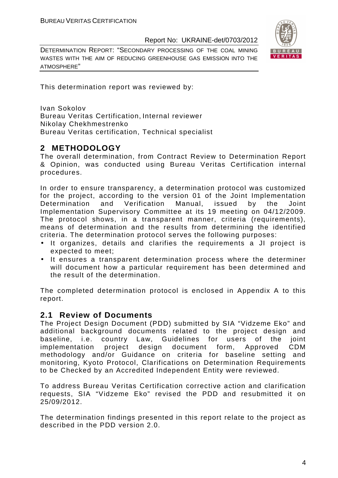DETERMINATION REPORT: "SECONDARY PROCESSING OF THE COAL MINING WASTES WITH THE AIM OF REDUCING GREENHOUSE GAS EMISSION INTO THE ATMOSPHERE"



This determination report was reviewed by:

Ivan Sokolov Bureau Veritas Certification, Internal reviewer Nikolay Chekhmestrenko Bureau Veritas certification, Technical specialist

# **2 METHODOLOGY**

The overall determination, from Contract Review to Determination Report & Opinion, was conducted using Bureau Veritas Certification internal procedures.

In order to ensure transparency, a determination protocol was customized for the project, according to the version 01 of the Joint Implementation Determination and Verification Manual, issued by the Joint Implementation Supervisory Committee at its 19 meeting on 04/12/2009. The protocol shows, in a transparent manner, criteria (requirements), means of determination and the results from determining the identified criteria. The determination protocol serves the following purposes:

- It organizes, details and clarifies the requirements a JI project is expected to meet;
- It ensures a transparent determination process where the determiner will document how a particular requirement has been determined and the result of the determination.

The completed determination protocol is enclosed in Appendix A to this report.

# **2.1 Review of Documents**

The Project Design Document (PDD) submitted by SIA "Vidzeme Eko" and additional background documents related to the project design and baseline, i.e. country Law, Guidelines for users of the joint implementation project design document form, Approved CDM methodology and/or Guidance on criteria for baseline setting and monitoring, Kyoto Protocol, Clarifications on Determination Requirements to be Checked by an Accredited Independent Entity were reviewed.

To address Bureau Veritas Certification corrective action and clarification requests, SIA "Vidzeme Eko" revised the PDD and resubmitted it on 25/09/2012.

The determination findings presented in this report relate to the project as described in the PDD version 2.0.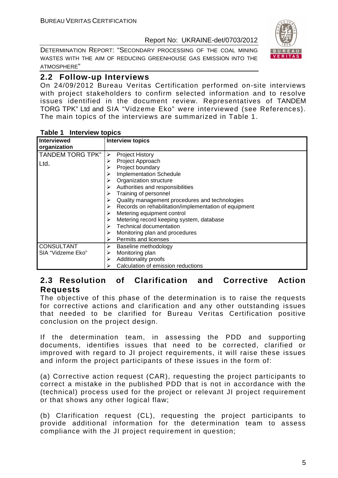DETERMINATION REPORT: "SECONDARY PROCESSING OF THE COAL MINING WASTES WITH THE AIM OF REDUCING GREENHOUSE GAS EMISSION INTO THE ATMOSPHERE"



# **2.2 Follow-up Interviews**

On 24/09/2012 Bureau Veritas Certification performed on-site interviews with project stakeholders to confirm selected information and to resolve issues identified in the document review. Representatives of TANDEM TORG TPK" Ltd and SIA "Vidzeme Eko" were interviewed (see References). The main topics of the interviews are summarized in Table 1.

| Interviewed<br>organization | <b>Interview topics</b>                               |
|-----------------------------|-------------------------------------------------------|
|                             |                                                       |
| <b>TANDEM TORG TPK"</b>     | <b>Project History</b>                                |
| Ltd.                        | Project Approach                                      |
|                             | Project boundary                                      |
|                             | <b>Implementation Schedule</b>                        |
|                             | Organization structure                                |
|                             | Authorities and responsibilities                      |
|                             | Training of personnel                                 |
|                             | Quality management procedures and technologies        |
|                             | Records on rehabilitation/implementation of equipment |
|                             | Metering equipment control                            |
|                             | Metering record keeping system, database              |
|                             | <b>Technical documentation</b>                        |
|                             | Monitoring plan and procedures                        |
|                             | Permits and licenses<br>➤                             |
| <b>CONSULTANT</b>           | Baseline methodology                                  |
| SIA "Vidzeme Eko"           | Monitoring plan                                       |
|                             | Additionality proofs<br>≻                             |
|                             | Calculation of emission reductions                    |

#### **Table 1 Interview topics**

# **2.3 Resolution of Clarification and Corrective Action Requests**

The objective of this phase of the determination is to raise the requests for corrective actions and clarification and any other outstanding issues that needed to be clarified for Bureau Veritas Certification positive conclusion on the project design.

If the determination team, in assessing the PDD and supporting documents, identifies issues that need to be corrected, clarified or improved with regard to JI project requirements, it will raise these issues and inform the project participants of these issues in the form of:

(a) Corrective action request (CAR), requesting the project participants to correct a mistake in the published PDD that is not in accordance with the (technical) process used for the project or relevant JI project requirement or that shows any other logical flaw;

(b) Clarification request (CL), requesting the project participants to provide additional information for the determination team to assess compliance with the JI project requirement in question;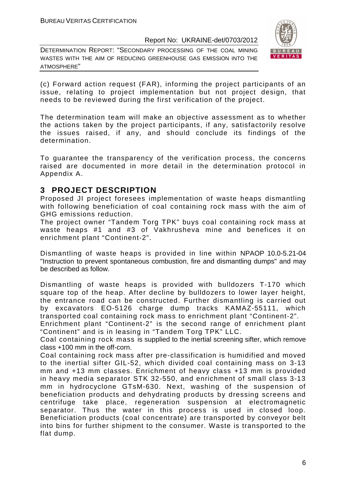DETERMINATION REPORT: "SECONDARY PROCESSING OF THE COAL MINING WASTES WITH THE AIM OF REDUCING GREENHOUSE GAS EMISSION INTO THE ATMOSPHERE"



(c) Forward action request (FAR), informing the project participants of an issue, relating to project implementation but not project design, that needs to be reviewed during the first verification of the project.

The determination team will make an objective assessment as to whether the actions taken by the project participants, if any, satisfactorily resolve the issues raised, if any, and should conclude its findings of the determination.

To guarantee the transparency of the verification process, the concerns raised are documented in more detail in the determination protocol in Appendix A.

# **3 PROJECT DESCRIPTION**

Proposed JI project foresees implementation of waste heaps dismantling with following beneficiation of coal containing rock mass with the aim of GHG emissions reduction.

The project owner "Tandem Torg TPK" buys coal containing rock mass at waste heaps #1 and #3 of Vakhrusheva mine and benefices it on enrichment plant "Continent-2".

Dismantling of waste heaps is provided in line within NPAOP 10.0-5.21-04 "Instruction to prevent spontaneous combustion, fire and dismantling dumps" and may be described as follow.

Dismantling of waste heaps is provided with bulldozers T-170 which square top of the heap. After decline by bulldozers to lower layer height, the entrance road can be constructed. Further dismantling is carried out by excavators EO-5126 charge dump tracks KAMAZ-55111, which transported coal containing rock mass to enrichment plant "Continent-2".

Enrichment plant "Continent-2" is the second range of enrichment plant "Continent" and is in leasing in "Tandem Torg TPK" LLC.

Coal containing rock mass is supplied to the inertial screening sifter, which remove class +100 mm in the off-corn.

Coal containing rock mass after pre-classification is humidified and moved to the inertial sifter GIL-52, which divided coal containing mass on 3-13 mm and +13 mm classes. Enrichment of heavy class +13 mm is provided in heavy media separator STK 32-550, and enrichment of small class 3-13 mm in hydrocyclone GTsM-630. Next, washing of the suspension of beneficiation products and dehydrating products by dressing screens and centrifuge take place, regeneration suspension at electromagnetic separator. Thus the water in this process is used in closed loop. Beneficiation products (coal concentrate) are transported by conveyor belt into bins for further shipment to the consumer. Waste is transported to the flat dump.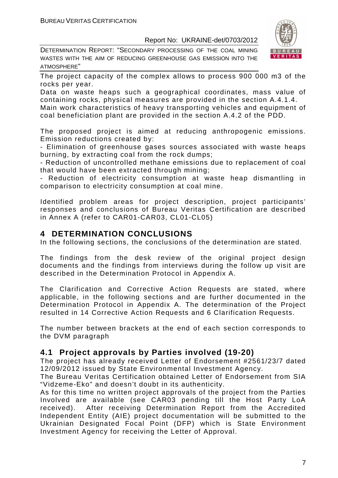DETERMINATION REPORT: "SECONDARY PROCESSING OF THE COAL MINING WASTES WITH THE AIM OF REDUCING GREENHOUSE GAS EMISSION INTO THE ATMOSPHERE"



The project capacity of the complex allows to process 900 000 m3 of the rocks per year.

Data on waste heaps such a geographical coordinates, mass value of containing rocks, physical measures are provided in the section A.4.1.4. Main work characteristics of heavy transporting vehicles and equipment of

coal beneficiation plant are provided in the section A.4.2 of the PDD.

The proposed project is aimed at reducing anthropogenic emissions. Emission reductions created by:

- Elimination of greenhouse gases sources associated with waste heaps burning, by extracting coal from the rock dumps;

- Reduction of uncontrolled methane emissions due to replacement of coal that would have been extracted through mining;

- Reduction of electricity consumption at waste heap dismantling in comparison to electricity consumption at coal mine.

Identified problem areas for project description, project participants' responses and conclusions of Bureau Veritas Certification are described in Annex A (refer to CAR01-CAR03, CL01-CL05)

# **4 DETERMINATION CONCLUSIONS**

In the following sections, the conclusions of the determination are stated.

The findings from the desk review of the original project design documents and the findings from interviews during the follow up visit are described in the Determination Protocol in Appendix A.

The Clarification and Corrective Action Requests are stated, where applicable, in the following sections and are further documented in the Determination Protocol in Appendix A. The determination of the Project resulted in 14 Corrective Action Requests and 6 Clarification Requests.

The number between brackets at the end of each section corresponds to the DVM paragraph

# **4.1 Project approvals by Parties involved (19-20)**

The project has already received Letter of Endorsement #2561/23/7 dated 12/09/2012 issued by State Environmental Investment Agency.

The Bureau Veritas Certification obtained Letter of Endorsement from SIA "Vidzeme-Eko" and doesn't doubt in its authenticity.

As for this time no written project approvals of the project from the Parties Involved are available (see CAR03 pending till the Host Party LoA received). After receiving Determination Report from the Accredited Independent Entity (AIE) project documentation will be submitted to the Ukrainian Designated Focal Point (DFP) which is State Environment Investment Agency for receiving the Letter of Approval.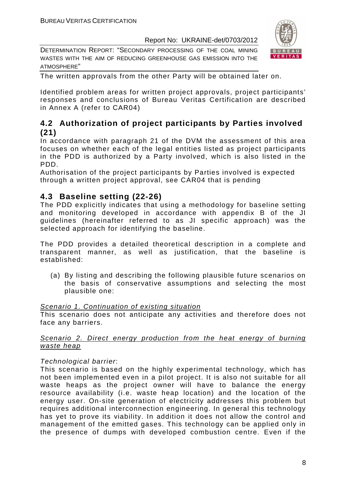DETERMINATION REPORT: "SECONDARY PROCESSING OF THE COAL MINING WASTES WITH THE AIM OF REDUCING GREENHOUSE GAS EMISSION INTO THE ATMOSPHERE"



The written approvals from the other Party will be obtained later on.

Identified problem areas for written project approvals, project participants' responses and conclusions of Bureau Veritas Certification are described in Annex A (refer to CAR04)

# **4.2 Authorization of project participants by Parties involved (21)**

In accordance with paragraph 21 of the DVM the assessment of this area focuses on whether each of the legal entities listed as project participants in the PDD is authorized by a Party involved, which is also listed in the PDD.

Authorisation of the project participants by Parties involved is expected through a written project approval, see CAR04 that is pending

# **4.3 Baseline setting (22-26)**

The PDD explicitly indicates that using a methodology for baseline setting and monitoring developed in accordance with appendix B of the JI guidelines (hereinafter referred to as JI specific approach) was the selected approach for identifying the baseline.

The PDD provides a detailed theoretical description in a complete and transparent manner, as well as justification, that the baseline is established:

(a) By listing and describing the following plausible future scenarios on the basis of conservative assumptions and selecting the most plausible one:

#### Scenario 1. Continuation of existing situation

This scenario does not anticipate any activities and therefore does not face any barriers.

#### Scenario 2. Direct energy production from the heat energy of burning waste heap

# Technological barrier:

This scenario is based on the highly experimental technology, which has not been implemented even in a pilot project. It is also not suitable for all waste heaps as the project owner will have to balance the energy resource availability (i.e. waste heap location) and the location of the energy user. On-site generation of electricity addresses this problem but requires additional interconnection engineering. In general this technology has yet to prove its viability. In addition it does not allow the control and management of the emitted gases. This technology can be applied only in the presence of dumps with developed combustion centre. Even if the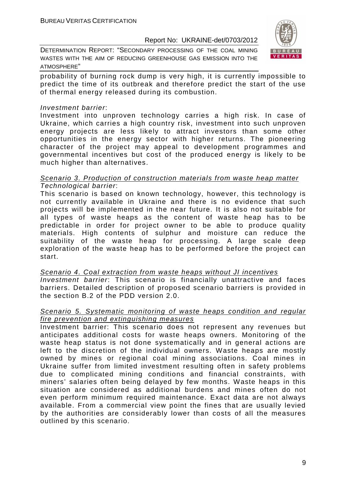DETERMINATION REPORT: "SECONDARY PROCESSING OF THE COAL MINING WASTES WITH THE AIM OF REDUCING GREENHOUSE GAS EMISSION INTO THE ATMOSPHERE"



probability of burning rock dump is very high, it is currently impossible to predict the time of its outbreak and therefore predict the start of the use of thermal energy released during its combustion.

#### Investment barrier:

Investment into unproven technology carries a high risk. In case of Ukraine, which carries a high country risk, investment into such unproven energy projects are less likely to attract investors than some other opportunities in the energy sector with higher returns. The pioneering character of the project may appeal to development programmes and governmental incentives but cost of the produced energy is likely to be much higher than alternatives.

#### Scenario 3. Production of construction materials from waste heap matter Technological barrier:

This scenario is based on known technology, however, this technology is not currently available in Ukraine and there is no evidence that such projects will be implemented in the near future. It is also not suitable for all types of waste heaps as the content of waste heap has to be predictable in order for project owner to be able to produce quality materials. High contents of sulphur and moisture can reduce the suitability of the waste heap for processing. A large scale deep exploration of the waste heap has to be performed before the project can start.

Scenario 4. Coal extraction from waste heaps without JI incentives Investment barrier: This scenario is financially unattractive and faces barriers. Detailed description of proposed scenario barriers is provided in the section B.2 of the PDD version 2.0.

#### Scenario 5. Systematic monitoring of waste heaps condition and regular fire prevention and extinguishing measures

Investment barrier: This scenario does not represent any revenues but anticipates additional costs for waste heaps owners. Monitoring of the waste heap status is not done systematically and in general actions are left to the discretion of the individual owners. Waste heaps are mostly owned by mines or regional coal mining associations. Coal mines in Ukraine suffer from limited investment resulting often in safety problems due to complicated mining conditions and financial constraints, with miners' salaries often being delayed by few months. Waste heaps in this situation are considered as additional burdens and mines often do not even perform minimum required maintenance. Exact data are not always available. From a commercial view point the fines that are usually levied by the authorities are considerably lower than costs of all the measures outlined by this scenario.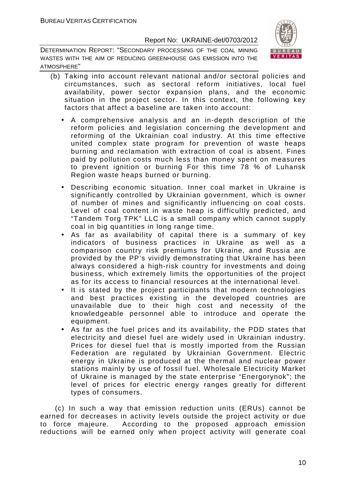DETERMINATION REPORT: "SECONDARY PROCESSING OF THE COAL MINING WASTES WITH THE AIM OF REDUCING GREENHOUSE GAS EMISSION INTO THE ATMOSPHERE"



- (b) Taking into account relevant national and/or sectoral policies and circumstances, such as sectoral reform initiatives, local fuel availability, power sector expansion plans, and the economic situation in the project sector. In this context, the following key factors that affect a baseline are taken into account:
	- A comprehensive analysis and an in-depth description of the reform policies and legislation concerning the development and reforming of the Ukrainian coal industry. At this time effective united complex state program for prevention of waste heaps burning and reclamation with extraction of coal is absent. Fines paid by pollution costs much less than money spent on measures to prevent ignition or burning For this time 78 % of Luhansk Region waste heaps burned or burning.
	- Describing economic situation. Inner coal market in Ukraine is significantly controlled by Ukrainian government, which is owner of number of mines and significantly influencing on coal costs. Level of coal content in waste heap is difficultly predicted, and "Tandem Torg TPK" LLC is a small company which cannot supply coal in big quantities in long range time.
	- As far as availability of capital there is a summary of key indicators of business practices in Ukraine as well as a comparison country risk premiums for Ukraine, and Russia are provided by the PP's vividly demonstrating that Ukraine has been always considered a high-risk country for investments and doing business, which extremely limits the opportunities of the project as for its access to financial resources at the international level.
	- It is stated by the project participants that modern technologies and best practices existing in the developed countries are unavailable due to their high cost and necessity of the knowledgeable personnel able to introduce and operate the equipment.
	- As far as the fuel prices and its availability, the PDD states that electricity and diesel fuel are widely used in Ukrainian industry. Prices for diesel fuel that is mostly imported from the Russian Federation are regulated by Ukrainian Government. Electric energy in Ukraine is produced at the thermal and nuclear power stations mainly by use of fossil fuel. Wholesale Electricity Market of Ukraine is managed by the state enterprise "Energorynok"; the level of prices for electric energy ranges greatly for different types of consumers.

 (c) In such a way that emission reduction units (ERUs) cannot be earned for decreases in activity levels outside the project activity or due to force majeure. According to the proposed approach emission reductions will be earned only when project activity will generate coal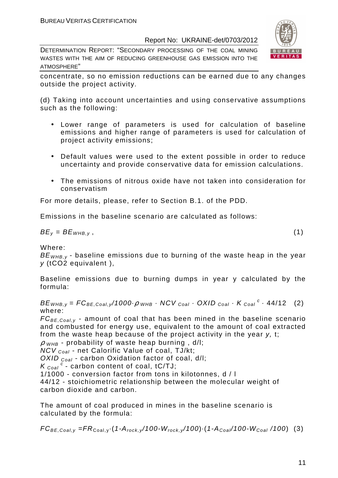DETERMINATION REPORT: "SECONDARY PROCESSING OF THE COAL MINING WASTES WITH THE AIM OF REDUCING GREENHOUSE GAS EMISSION INTO THE ATMOSPHERE"



concentrate, so no emission reductions can be earned due to any changes outside the project activity.

(d) Taking into account uncertainties and using conservative assumptions such as the following:

- Lower range of parameters is used for calculation of baseline emissions and higher range of parameters is used for calculation of project activity emissions;
- Default values were used to the extent possible in order to reduce uncertainty and provide conservative data for emission calculations.
- The emissions of nitrous oxide have not taken into consideration for conservatism

For more details, please, refer to Section B.1. of the PDD.

Emissions in the baseline scenario are calculated as follows:

$$
BE_y = BE_{WHB,y}, \t\t(1)
$$

Where:

 $BE<sub>WHB,V</sub>$  - baseline emissions due to burning of the waste heap in the year y (tCO2 equivalent ),

Baseline emissions due to burning dumps in year y calculated by the formula:

 $BE_{WHB,y} = FC_{BE,Coal,y}$ /1000 $\cdot \rho$  whe  $\cdot$  NCV  $_{Coal} \cdot$  OXID  $_{Coal} \cdot K_{Coal}^c \cdot$  44/12 (2) where:

 $FC_{BE, coal, y}$  - amount of coal that has been mined in the baseline scenario and combusted for energy use, equivalent to the amount of coal extracted from the waste heap because of the project activity in the year y, t;

 $\rho$  w<sub>HB</sub> - probability of waste heap burning, d/l;

 $NCV_{Coal}$  - net Calorific Value of coal, TJ/kt;

OXID  $_{Coal}$  - carbon Oxidation factor of coal, d/l;

 $K_{\text{Coal}}^c$  - carbon content of coal, tC/TJ;

1/1000 - conversion factor from tons in kilotonnes, d / l

44/12 - stoichiometric relationship between the molecular weight of carbon dioxide and carbon.

The amount of coal produced in mines in the baseline scenario is calculated by the formula:

 $FC_{BE,Coal,y} = FR_{Coal,y} \cdot (1-A_{rock,y} / 100-W_{rock,y} / 100) \cdot (1-A_{Coal} / 100-W_{Coal} / 100)$  (3)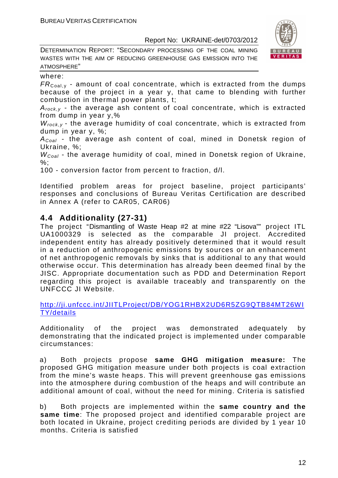DETERMINATION REPORT: "SECONDARY PROCESSING OF THE COAL MINING WASTES WITH THE AIM OF REDUCING GREENHOUSE GAS EMISSION INTO THE ATMOSPHERE"



#### where:

 $FR_{\text{Coal}}$ , - amount of coal concentrate, which is extracted from the dumps because of the project in a year y, that came to blending with further combustion in thermal power plants, t;

 $A_{rock, v}$  - the average ash content of coal concentrate, which is extracted from dump in year y,%

 $W_{rock,v}$  - the average humidity of coal concentrate, which is extracted from dump in year y, %;

 $A_{Coal}$  - the average ash content of coal, mined in Donetsk region of Ukraine, %;

 $W_{Coal}$  - the average humidity of coal, mined in Donetsk region of Ukraine,  $\%$ :

100 - conversion factor from percent to fraction, d/l.

Identified problem areas for project baseline, project participants' responses and conclusions of Bureau Veritas Certification are described in Annex A (refer to CAR05, CAR06)

# **4.4 Additionality (27-31)**

The project "Dismantling of Waste Heap #2 at mine #22 "Lisova"" project ITL UA1000329 is selected as the comparable JI project. Accredited independent entity has already positively determined that it would result in a reduction of anthropogenic emissions by sources or an enhancement of net anthropogenic removals by sinks that is additional to any that would otherwise occur. This determination has already been deemed final by the JISC. Appropriate documentation such as PDD and Determination Report regarding this project is available traceably and transparently on the UNFCCC JI Website.

http://ji.unfccc.int/JIITLProject/DB/YOG1RHBX2UD6R5ZG9QTB84MT26WI TY/details

Additionality of the project was demonstrated adequately by demonstrating that the indicated project is implemented under comparable circumstances:

a) Both projects propose **same GHG mitigation measure:** The proposed GHG mitigation measure under both projects is coal extraction from the mine's waste heaps. This will prevent greenhouse gas emissions into the atmosphere during combustion of the heaps and will contribute an additional amount of coal, without the need for mining. Criteria is satisfied

b) Both projects are implemented within the **same country and the same time**: The proposed project and identified comparable project are both located in Ukraine, project crediting periods are divided by 1 year 10 months. Criteria is satisfied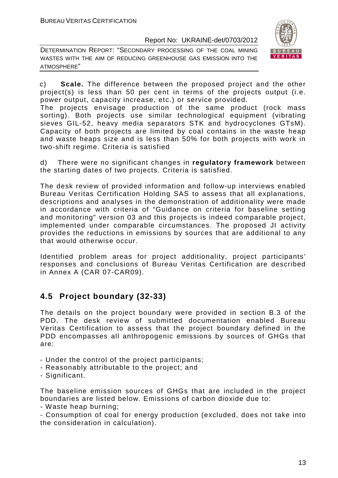DETERMINATION REPORT: "SECONDARY PROCESSING OF THE COAL MINING WASTES WITH THE AIM OF REDUCING GREENHOUSE GAS EMISSION INTO THE ATMOSPHERE"



c) **Scale.** The difference between the proposed project and the other project(s) is less than 50 per cent in terms of the projects output (i.e. power output, capacity increase, etc.) or service provided.

The projects envisage production of the same product (rock mass sorting). Both projects use similar technological equipment (vibrating sieves GIL-52, heavy media separators STK and hydrocyclones GTsM). Capacity of both projects are limited by coal contains in the waste heap and waste heaps size and is less than 50% for both projects with work in two-shift regime. Criteria is satisfied

d) There were no significant changes in **regulatory framework** between the starting dates of two projects. Criteria is satisfied.

The desk review of provided information and follow-up interviews enabled Bureau Veritas Certification Holding SAS to assess that all explanations, descriptions and analyses in the demonstration of additionality were made in accordance with criteria of "Guidance on criteria for baseline setting and monitoring" version 03 and this projects is indeed comparable project, implemented under comparable circumstances. The proposed JI activity provides the reductions in emissions by sources that are additional to any that would otherwise occur.

Identified problem areas for project additionality, project participants' responses and conclusions of Bureau Veritas Certification are described in Annex A (CAR 07-CAR09).

# **4.5 Project boundary (32-33)**

The details on the project boundary were provided in section B.3 of the PDD. The desk review of submitted documentation enabled Bureau Veritas Certification to assess that the project boundary defined in the PDD encompasses all anthropogenic emissions by sources of GHGs that are:

- Under the control of the project participants;
- Reasonably attributable to the project; and
- Significant.

The baseline emission sources of GHGs that are included in the project boundaries are listed below. Emissions of carbon dioxide due to:

- Waste heap burning;

- Consumption of coal for energy production (excluded, does not take into the consideration in calculation).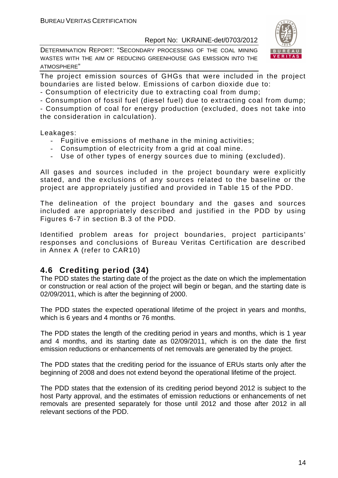DETERMINATION REPORT: "SECONDARY PROCESSING OF THE COAL MINING WASTES WITH THE AIM OF REDUCING GREENHOUSE GAS EMISSION INTO THE ATMOSPHERE"



The project emission sources of GHGs that were included in the project boundaries are listed below. Emissions of carbon dioxide due to:

- Consumption of electricity due to extracting coal from dump;
- Consumption of fossil fuel (diesel fuel) due to extracting coal from dump;

- Consumption of coal for energy production (excluded, does not take into the consideration in calculation).

Leakages:

- Fugitive emissions of methane in the mining activities;
- Consumption of electricity from a grid at coal mine.
- Use of other types of energy sources due to mining (excluded).

All gases and sources included in the project boundary were explicitly stated, and the exclusions of any sources related to the baseline or the project are appropriately justified and provided in Table 15 of the PDD.

The delineation of the project boundary and the gases and sources included are appropriately described and justified in the PDD by using Figures 6-7 in section B.3 of the PDD.

Identified problem areas for project boundaries, project participants' responses and conclusions of Bureau Veritas Certification are described in Annex A (refer to CAR10)

# **4.6 Crediting period (34)**

The PDD states the starting date of the project as the date on which the implementation or construction or real action of the project will begin or began, and the starting date is 02/09/2011, which is after the beginning of 2000.

The PDD states the expected operational lifetime of the project in years and months, which is 6 years and 4 months or 76 months.

The PDD states the length of the crediting period in years and months, which is 1 year and 4 months, and its starting date as 02/09/2011, which is on the date the first emission reductions or enhancements of net removals are generated by the project.

The PDD states that the crediting period for the issuance of ERUs starts only after the beginning of 2008 and does not extend beyond the operational lifetime of the project.

The PDD states that the extension of its crediting period beyond 2012 is subject to the host Party approval, and the estimates of emission reductions or enhancements of net removals are presented separately for those until 2012 and those after 2012 in all relevant sections of the PDD.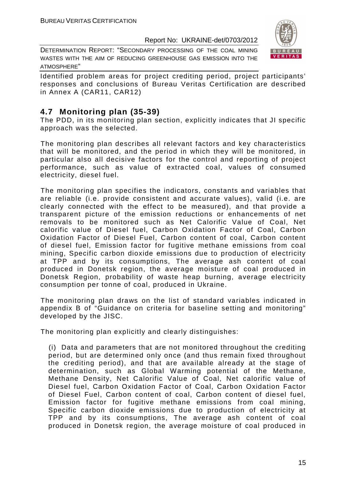DETERMINATION REPORT: "SECONDARY PROCESSING OF THE COAL MINING WASTES WITH THE AIM OF REDUCING GREENHOUSE GAS EMISSION INTO THE ATMOSPHERE"



Identified problem areas for project crediting period, project participants' responses and conclusions of Bureau Veritas Certification are described in Annex A (CAR11, CAR12)

# **4.7 Monitoring plan (35-39)**

The PDD, in its monitoring plan section, explicitly indicates that JI specific approach was the selected.

The monitoring plan describes all relevant factors and key characteristics that will be monitored, and the period in which they will be monitored, in particular also all decisive factors for the control and reporting of project performance, such as value of extracted coal, values of consumed electricity, diesel fuel.

The monitoring plan specifies the indicators, constants and variables that are reliable (i.e. provide consistent and accurate values), valid (i.e. are clearly connected with the effect to be measured), and that provide a transparent picture of the emission reductions or enhancements of net removals to be monitored such as Net Calorific Value of Coal, Net calorific value of Diesel fuel, Carbon Oxidation Factor of Coal, Carbon Oxidation Factor of Diesel Fuel, Carbon content of coal, Carbon content of diesel fuel, Emission factor for fugitive methane emissions from coal mining, Specific carbon dioxide emissions due to production of electricity at TPP and by its consumptions, The average ash content of coal produced in Donetsk region, the average moisture of coal produced in Donetsk Region, probability of waste heap burning, average electricity consumption per tonne of coal, produced in Ukraine.

The monitoring plan draws on the list of standard variables indicated in appendix B of "Guidance on criteria for baseline setting and monitoring" developed by the JISC.

The monitoring plan explicitly and clearly distinguishes:

(i) Data and parameters that are not monitored throughout the crediting period, but are determined only once (and thus remain fixed throughout the crediting period), and that are available already at the stage of determination, such as Global Warming potential of the Methane, Methane Density, Net Calorific Value of Coal, Net calorific value of Diesel fuel, Carbon Oxidation Factor of Coal, Carbon Oxidation Factor of Diesel Fuel, Carbon content of coal, Carbon content of diesel fuel, Emission factor for fugitive methane emissions from coal mining, Specific carbon dioxide emissions due to production of electricity at TPP and by its consumptions, The average ash content of coal produced in Donetsk region, the average moisture of coal produced in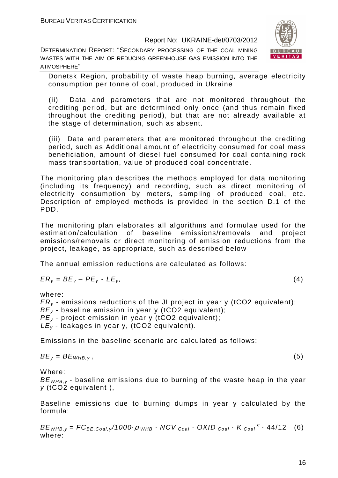DETERMINATION REPORT: "SECONDARY PROCESSING OF THE COAL MINING WASTES WITH THE AIM OF REDUCING GREENHOUSE GAS EMISSION INTO THE ATMOSPHERE"



Donetsk Region, probability of waste heap burning, average electricity consumption per tonne of coal, produced in Ukraine

(ii) Data and parameters that are not monitored throughout the crediting period, but are determined only once (and thus remain fixed throughout the crediting period), but that are not already available at the stage of determination, such as absent.

(iii) Data and parameters that are monitored throughout the crediting period, such as Additional amount of electricity consumed for coal mass beneficiation, amount of diesel fuel consumed for coal containing rock mass transportation, value of produced coal concentrate.

The monitoring plan describes the methods employed for data monitoring (including its frequency) and recording, such as direct monitoring of electricity consumption by meters, sampling of produced coal, etc. Description of employed methods is provided in the section D.1 of the PDD.

The monitoring plan elaborates all algorithms and formulae used for the estimation/calculation of baseline emissions/removals and project emissions/removals or direct monitoring of emission reductions from the project, leakage, as appropriate, such as described below

The annual emission reductions are calculated as follows:

$$
ER_y = BE_y - PE_y - LE_y, \tag{4}
$$

where:

 $ER<sub>v</sub>$  - emissions reductions of the JI project in year y (tCO2 equivalent);  $BE_v$  - baseline emission in year y (tCO2 equivalent);  $PE<sub>v</sub>$  - project emission in year y (tCO2 equivalent);  $LE_v$  - leakages in year y, (tCO2 equivalent).

Emissions in the baseline scenario are calculated as follows:

$$
BE_y = BE_{WHB,y}, \t\t(5)
$$

Where:

 $BE<sub>WHB,V</sub>$  - baseline emissions due to burning of the waste heap in the year y (tCO2 equivalent ),

Baseline emissions due to burning dumps in year y calculated by the formula:

 $BE_{WHB,y} = FC_{BE,Coal,y}$ /1000 $\rho_{WHB}$  · NCV  $_{Coal}$  · OXID  $_{Coal}$  · K  $_{Coal}$  <sup>c</sup> · 44/12 (6) where: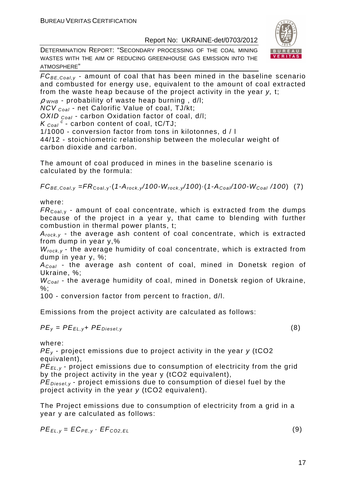DETERMINATION REPORT: "SECONDARY PROCESSING OF THE COAL MINING WASTES WITH THE AIM OF REDUCING GREENHOUSE GAS EMISSION INTO THE ATMOSPHERE"



 $\rho$  <sub>WHB</sub> - probability of waste heap burning, d/l; NCV <sub>Coal</sub> - net Calorific Value of coal, TJ/kt;

OXID  $_{Coal}$  - carbon Oxidation factor of coal, d/l;

 $K_{\text{Coal}}^{\text{c}}$  - carbon content of coal, tC/TJ;

1/1000 - conversion factor from tons in kilotonnes, d / l

44/12 - stoichiometric relationship between the molecular weight of carbon dioxide and carbon.

The amount of coal produced in mines in the baseline scenario is calculated by the formula:

 $FC_{BE,Coal,y} = FR_{Coal,y} \cdot (1-A_{rock,y}/100-W_{rock,y}/100) \cdot (1-A_{Coal}/100-W_{Coal}/100)$  (7)

where:

 $FR_{\text{Coal,v}}$  - amount of coal concentrate, which is extracted from the dumps because of the project in a year y, that came to blending with further combustion in thermal power plants, t;

 $A_{rock, v}$  - the average ash content of coal concentrate, which is extracted from dump in year y,%

 $W_{rock.v}$  - the average humidity of coal concentrate, which is extracted from dump in year y, %;

 $A_{Coal}$  - the average ash content of coal, mined in Donetsk region of Ukraine, %;

 $W_{Coal}$  - the average humidity of coal, mined in Donetsk region of Ukraine, %;

100 - conversion factor from percent to fraction, d/l.

Emissions from the project activity are calculated as follows:

 $PE_v = PE_{EL, v} + PE_{Diesel, v}$  (8)

where:

 $PE<sub>v</sub>$  - project emissions due to project activity in the year  $v$  (tCO2 equivalent),

PE*Е*L,y - project emissions due to consumption of electricity from the grid by the project activity in the year y (tCO2 equivalent),

 $PE_{\text{Diesel},v}$  - project emissions due to consumption of diesel fuel by the project activity in the year y (tCO2 equivalent).

The Project emissions due to consumption of electricity from a grid in a year y are calculated as follows:

$$
PE_{EL,y} = EC_{PE,y} \cdot EF_{CO2,EL}
$$
 (9)

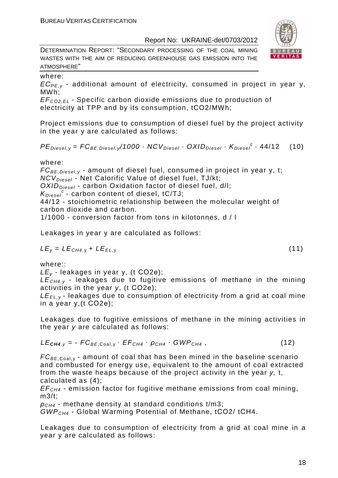DETERMINATION REPORT: "SECONDARY PROCESSING OF THE COAL MINING WASTES WITH THE AIM OF REDUCING GREENHOUSE GAS EMISSION INTO THE ATMOSPHERE"

#### where:

 $EC_{PFV}$  - additional amount of electricity, consumed in project in year y, MWh;

EF<sup>C</sup>*О*2,EL - Specific carbon dioxide emissions due to production of electricity at TPP and by its consumption, tCO2/MWh;

Project emissions due to consumption of diesel fuel by the project activity in the year y are calculated as follows:

 $PE_{\text{Diesel}, y} = FC_{\text{BE},\text{Diesel}, y} / 1000 \cdot NCV_{\text{Diesel}} \cdot OX / D_{\text{Diesel}} \cdot K_{\text{Diesel}}^c \cdot 44 / 12$  (10)

# where:

 $FC_{BE, Diesel, y}$  - amount of diesel fuel, consumed in project in year y, t; NCV<sub>Diesel</sub> - Net Calorific Value of diesel fuel, TJ/kt;  $OXID<sub>Diesel</sub>$  - carbon Oxidation factor of diesel fuel, d/l;  $K_{Diesel}^c$  - carbon content of diesel, tC/TJ; 44/12 - stoichiometric relationship between the molecular weight of carbon dioxide and carbon.

1/1000 - conversion factor from tons in kilotonnes, d / l

Leakages in year y are calculated as follows:

$$
LE_y = LE_{CH4,y} + LE_{EL,y}
$$
 (11)

where::

 $LE_v$  - leakages in year y, (t CO2e);

 $LE<sub>CH4,V</sub>$  - leakages due to fugitive emissions of methane in the mining activities in the year y, (t СО2е);

 $LE_{FL, y}$  - leakages due to consumption of electricity from a grid at coal mine in a year y,(t СО2е);

Leakages due to fugitive emissions of methane in the mining activities in the year y are calculated as follows:

$$
LE_{\text{CH4},y} = -FC_{BE,Coal,y} \cdot EF_{CH4} \cdot \rho_{CH4} \cdot GWP_{CH4}, \qquad (12)
$$

 $FC_{BE,Coal, y}$  - amount of coal that has been mined in the baseline scenario and combusted for energy use, equivalent to the amount of coal extracted from the waste heaps because of the project activity in the year y, t, calculated as (4);

 $EF<sub>CH4</sub>$  - emission factor for fugitive methane emissions from coal mining,  $m3/t$ :

 $\rho_{CH4}$  - methane density at standard conditions t/m3;

GWPCH4 - Global Warming Potential of Methane, tСО2/ tСН4.

Leakages due to consumption of electricity from a grid at coal mine in a year y are calculated as follows:



$$
(11)
$$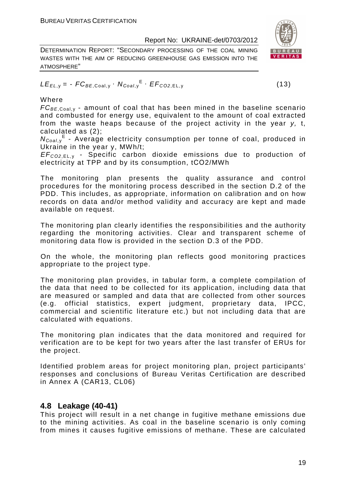DETERMINATION REPORT: "SECONDARY PROCESSING OF THE COAL MINING WASTES WITH THE AIM OF REDUCING GREENHOUSE GAS EMISSION INTO THE ATMOSPHERE"

$$
LE_{EL,y} = -FC_{BE,Coal,y} \cdot N_{Coal,y}^{E} \cdot EF_{CO2,EL,y}
$$
 (13)

# Where

 $FC_{BE, coal,v}$  - amount of coal that has been mined in the baseline scenario and combusted for energy use, equivalent to the amount of coal extracted from the waste heaps because of the project activity in the year y, t, calculated as (2);

 $N_{Coal,y}$ <sup>E</sup> - Average electricity consumption per tonne of coal, produced in Ukraine in the year y, MWh/t;

EF<sup>C</sup>*О*2,EL, <sup>у</sup> - Specific carbon dioxide emissions due to production of electricity at TPP and by its consumption, tСО2/MWh

The monitoring plan presents the quality assurance and control procedures for the monitoring process described in the section D.2 of the PDD. This includes, as appropriate, information on calibration and on how records on data and/or method validity and accuracy are kept and made available on request.

The monitoring plan clearly identifies the responsibilities and the authority regarding the monitoring activities. Clear and transparent scheme of monitoring data flow is provided in the section D.3 of the PDD.

On the whole, the monitoring plan reflects good monitoring practices appropriate to the project type.

The monitoring plan provides, in tabular form, a complete compilation of the data that need to be collected for its application, including data that are measured or sampled and data that are collected from other sources (e.g. official statistics, expert judgment, proprietary data, IPCC, commercial and scientific literature etc.) but not including data that are calculated with equations.

The monitoring plan indicates that the data monitored and required for verification are to be kept for two years after the last transfer of ERUs for the project.

Identified problem areas for project monitoring plan, project participants' responses and conclusions of Bureau Veritas Certification are described in Annex A (CAR13, CL06)

# **4.8 Leakage (40-41)**

This project will result in a net change in fugitive methane emissions due to the mining activities. As coal in the baseline scenario is only coming from mines it causes fugitive emissions of methane. These are calculated

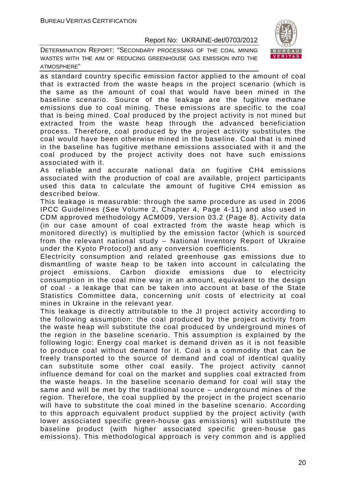DETERMINATION REPORT: "SECONDARY PROCESSING OF THE COAL MINING WASTES WITH THE AIM OF REDUCING GREENHOUSE GAS EMISSION INTO THE ATMOSPHERE"



as standard country specific emission factor applied to the amount of coal that is extracted from the waste heaps in the project scenario (which is the same as the amount of coal that would have been mined in the baseline scenario. Source of the leakage are the fugitive methane emissions due to coal mining. These emissions are specific to the coal that is being mined. Coal produced by the project activity is not mined but extracted from the waste heap through the advanced beneficiation process. Therefore, coal produced by the project activity substitutes the coal would have been otherwise mined in the baseline. Coal that is mined in the baseline has fugitive methane emissions associated with it and the coal produced by the project activity does not have such emissions associated with it.

As reliable and accurate national data on fugitive CH4 emissions associated with the production of coal are available, project participants used this data to calculate the amount of fugitive CH4 emission as described below.

This leakage is measurable: through the same procedure as used in 2006 IPCC Guidelines (See Volume 2, Chapter 4, Page 4-11) and also used in CDM approved methodology ACM009, Version 03.2 (Page 8). Activity data (in our case amount of coal extracted from the waste heap which is monitored directly) is multiplied by the emission factor (which is sourced from the relevant national study – National Inventory Report of Ukraine under the Kyoto Protocol) and any conversion coefficients.

Electricity consumption and related greenhouse gas emissions due to dismantling of waste heap to be taken into account in calculating the project emissions. Carbon dioxide emissions due to electricity consumption in the coal mine way in an amount, equivalent to the design of coal - a leakage that can be taken into account at base of the State Statistics Committee data, concerning unit costs of electricity at coal mines in Ukraine in the relevant year.

This leakage is directly attributable to the JI project activity according to the following assumption: the coal produced by the project activity from the waste heap will substitute the coal produced by underground mines of the region in the baseline scenario. This assumption is explained by the following logic: Energy coal market is demand driven as it is not feasible to produce coal without demand for it. Coal is a commodity that can be freely transported to the source of demand and coal of identical quality can substitute some other coal easily. The project activity cannot influence demand for coal on the market and supplies coal extracted from the waste heaps. In the baseline scenario demand for coal will stay the same and will be met by the traditional source – underground mines of the region. Therefore, the coal supplied by the project in the project scenario will have to substitute the coal mined in the baseline scenario. According to this approach equivalent product supplied by the project activity (with lower associated specific green-house gas emissions) will substitute the baseline product (with higher associated specific green-house gas emissions). This methodological approach is very common and is applied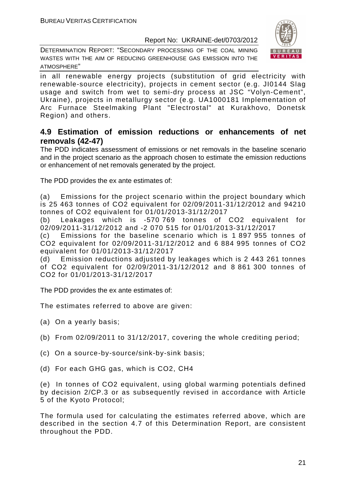DETERMINATION REPORT: "SECONDARY PROCESSING OF THE COAL MINING WASTES WITH THE AIM OF REDUCING GREENHOUSE GAS EMISSION INTO THE ATMOSPHERE"



in all renewable energy projects (substitution of grid electricity with renewable-source electricity), projects in cement sector (e.g. JI0144 Slag usage and switch from wet to semi-dry process at JSC "Volyn-Cement", Ukraine), projects in metallurgy sector (e.g. UA1000181 Implementation of Arc Furnace Steelmaking Plant "Electrostal" at Kurakhovo, Donetsk Region) and others.

# **4.9 Estimation of emission reductions or enhancements of net removals (42-47)**

The PDD indicates assessment of emissions or net removals in the baseline scenario and in the project scenario as the approach chosen to estimate the emission reductions or enhancement of net removals generated by the project.

The PDD provides the ex ante estimates of:

(a) Emissions for the project scenario within the project boundary which is 25 463 tonnes of CO2 equivalent for 02/09/2011-31/12/2012 and 94210 tonnes of CO2 equivalent for 01/01/2013-31/12/2017

(b) Leakages which is -570 769 tonnes of CO2 equivalent for 02/09/2011-31/12/2012 and -2 070 515 for 01/01/2013-31/12/2017

(c) Emissions for the baseline scenario which is 1 897 955 tonnes of CO2 equivalent for 02/09/2011-31/12/2012 and 6 884 995 tonnes of CO2 equivalent for 01/01/2013-31/12/2017

(d) Emission reductions adjusted by leakages which is 2 443 261 tonnes of CO2 equivalent for 02/09/2011-31/12/2012 and 8 861 300 tonnes of CO2 for 01/01/2013-31/12/2017

The PDD provides the ex ante estimates of:

The estimates referred to above are given:

- (a) On a yearly basis;
- (b) From 02/09/2011 to 31/12/2017, covering the whole crediting period;
- (c) On a source-by-source/sink-by-sink basis;
- (d) For each GHG gas, which is CO2, СН4

(e) In tonnes of CO2 equivalent, using global warming potentials defined by decision 2/CP.3 or as subsequently revised in accordance with Article 5 of the Kyoto Protocol;

The formula used for calculating the estimates referred above, which are described in the section 4.7 of this Determination Report, are consistent throughout the PDD.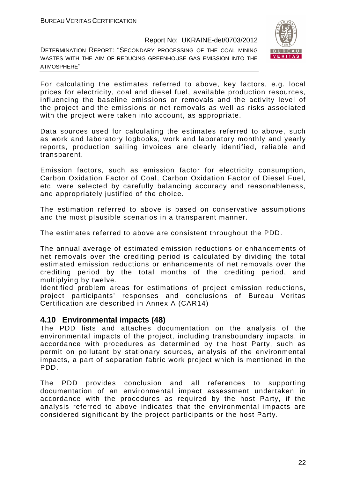DETERMINATION REPORT: "SECONDARY PROCESSING OF THE COAL MINING WASTES WITH THE AIM OF REDUCING GREENHOUSE GAS EMISSION INTO THE ATMOSPHERE"



For calculating the estimates referred to above, key factors, e.g. local prices for electricity, coal and diesel fuel, available production resources, influencing the baseline emissions or removals and the activity level of the project and the emissions or net removals as well as risks associated with the project were taken into account, as appropriate.

Data sources used for calculating the estimates referred to above, such as work and laboratory logbooks, work and laboratory monthly and yearly reports, production sailing invoices are clearly identified, reliable and transparent.

Emission factors, such as emission factor for electricity consumption, Carbon Oxidation Factor of Coal, Carbon Oxidation Factor of Diesel Fuel, etc, were selected by carefully balancing accuracy and reasonableness, and appropriately justified of the choice.

The estimation referred to above is based on conservative assumptions and the most plausible scenarios in a transparent manner.

The estimates referred to above are consistent throughout the PDD.

The annual average of estimated emission reductions or enhancements of net removals over the crediting period is calculated by dividing the total estimated emission reductions or enhancements of net removals over the crediting period by the total months of the crediting period, and multiplying by twelve.

Identified problem areas for estimations of project emission reductions, project participants' responses and conclusions of Bureau Veritas Certification are described in Annex A (CAR14)

# **4.10 Environmental impacts (48)**

The PDD lists and attaches documentation on the analysis of the environmental impacts of the project, including transboundary impacts, in accordance with procedures as determined by the host Party, such as permit on pollutant by stationary sources, analysis of the environmental impacts, a part of separation fabric work project which is mentioned in the PDD.

The PDD provides conclusion and all references to supporting documentation of an environmental impact assessment undertaken in accordance with the procedures as required by the host Party, if the analysis referred to above indicates that the environmental impacts are considered significant by the project participants or the host Party.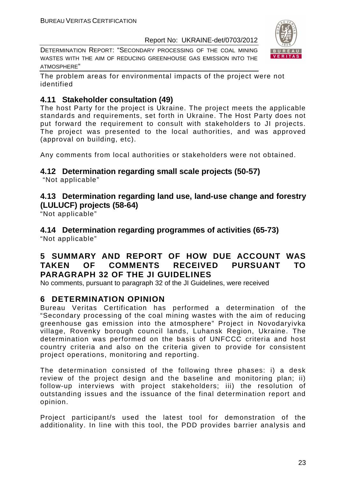DETERMINATION REPORT: "SECONDARY PROCESSING OF THE COAL MINING WASTES WITH THE AIM OF REDUCING GREENHOUSE GAS EMISSION INTO THE ATMOSPHERE"



The problem areas for environmental impacts of the project were not identified

# **4.11 Stakeholder consultation (49)**

The host Party for the project is Ukraine. The project meets the applicable standards and requirements, set forth in Ukraine. The Host Party does not put forward the requirement to consult with stakeholders to JI projects. The project was presented to the local authorities, and was approved (approval on building, etc).

Any comments from local authorities or stakeholders were not obtained.

# **4.12 Determination regarding small scale projects (50-57)**

"Not applicable"

# **4.13 Determination regarding land use, land-use change and forestry (LULUCF) projects (58-64)**

"Not applicable"

**4.14 Determination regarding programmes of activities (65-73)**  "Not applicable"

# **5 SUMMARY AND REPORT OF HOW DUE ACCOUNT WAS TAKEN OF COMMENTS RECEIVED PURSUANT TO PARAGRAPH 32 OF THE JI GUIDELINES**

No comments, pursuant to paragraph 32 of the JI Guidelines, were received

# **6 DETERMINATION OPINION**

Bureau Veritas Certification has performed a determination of the "Secondary processing of the coal mining wastes with the aim of reducing greenhouse gas emission into the atmosphere" Project in Novodaryivka village, Rovenky borough council lands, Luhansk Region, Ukraine. The determination was performed on the basis of UNFCCC criteria and host country criteria and also on the criteria given to provide for consistent project operations, monitoring and reporting.

The determination consisted of the following three phases: i) a desk review of the project design and the baseline and monitoring plan; ii) follow-up interviews with project stakeholders; iii) the resolution of outstanding issues and the issuance of the final determination report and opinion.

Project participant/s used the latest tool for demonstration of the additionality. In line with this tool, the PDD provides barrier analysis and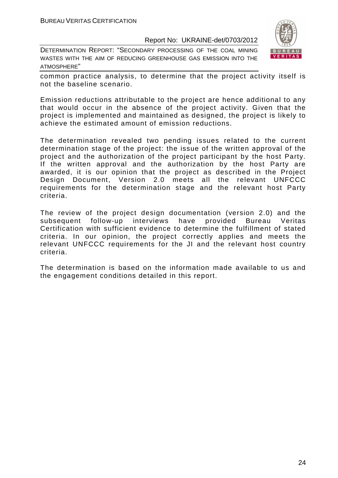DETERMINATION REPORT: "SECONDARY PROCESSING OF THE COAL MINING WASTES WITH THE AIM OF REDUCING GREENHOUSE GAS EMISSION INTO THE ATMOSPHERE"



common practice analysis, to determine that the project activity itself is not the baseline scenario.

Emission reductions attributable to the project are hence additional to any that would occur in the absence of the project activity. Given that the project is implemented and maintained as designed, the project is likely to achieve the estimated amount of emission reductions.

The determination revealed two pending issues related to the current determination stage of the project: the issue of the written approval of the project and the authorization of the project participant by the host Party. If the written approval and the authorization by the host Party are awarded, it is our opinion that the project as described in the Project Design Document, Version 2.0 meets all the relevant UNFCCC requirements for the determination stage and the relevant host Party criteria.

The review of the project design documentation (version 2.0) and the subsequent follow-up interviews have provided Bureau Veritas Certification with sufficient evidence to determine the fulfillment of stated criteria. In our opinion, the project correctly applies and meets the relevant UNFCCC requirements for the JI and the relevant host country criteria.

The determination is based on the information made available to us and the engagement conditions detailed in this report.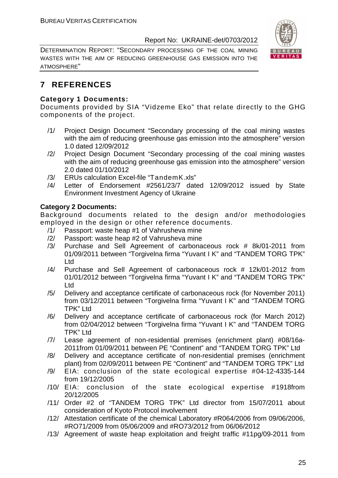DETERMINATION REPORT: "SECONDARY PROCESSING OF THE COAL MINING WASTES WITH THE AIM OF REDUCING GREENHOUSE GAS EMISSION INTO THE ATMOSPHERE"



# **7 REFERENCES**

# **Category 1 Documents:**

Documents provided by SIA "Vidzeme Eko" that relate directly to the GHG components of the project.

- /1/ Project Design Document "Secondary processing of the coal mining wastes with the aim of reducing greenhouse gas emission into the atmosphere" version 1.0 dated 12/09/2012
- /2/ Project Design Document "Secondary processing of the coal mining wastes with the aim of reducing greenhouse gas emission into the atmosphere" version 2.0 dated 01/10/2012
- /3/ ERUs calculation Excel-file "TandemK.xls"
- /4/ Letter of Endorsement #2561/23/7 dated 12/09/2012 issued by State Environment Investment Agency of Ukraine

# **Category 2 Documents:**

Background documents related to the design and/or methodologies employed in the design or other reference documents.

- /1/ Passport: waste heap #1 of Vahrusheva mine
- /2/ Passport: waste heap #2 of Vahrusheva mine
- /3/ Purchase and Sell Agreement of carbonaceous rock # 8k/01-2011 from 01/09/2011 between "Torgivelna firma "Yuvant I K" and "TANDEM TORG TPK" Ltd
- /4/ Purchase and Sell Agreement of carbonaceous rock # 12k/01-2012 from 01/01/2012 between "Torgivelna firma "Yuvant I K" and "TANDEM TORG TPK" Ltd
- /5/ Delivery and acceptance certificate of carbonaceous rock (for November 2011) from 03/12/2011 between "Torgivelna firma "Yuvant I K" and "TANDEM TORG TPK" Ltd
- /6/ Delivery and acceptance certificate of carbonaceous rock (for March 2012) from 02/04/2012 between "Torgivelna firma "Yuvant I K" and "TANDEM TORG TPK" Ltd
- /7/ Lease agreement of non-residential premises (enrichment plant) #08/16а-2011from 01/09/2011 between PE "Continent" and "TANDEM TORG TPK" Ltd
- /8/ Delivery and acceptance certificate of non-residential premises (enrichment plant) from 02/09/2011 between PE "Continent" and "TANDEM TORG TPK" Ltd
- /9/ EIA: conclusion of the state ecological expertise #04-12-4335-144 from 19/12/2005
- /10/ EIA: conclusion of the state ecological expertise #1918from 20/12/2005
- /11/ Order #2 of "TANDEM TORG TPK" Ltd director from 15/07/2011 about consideration of Kyoto Protocol involvement
- /12/ Attestation certificate of the chemical Laboratory #R064/2006 from 09/06/2006, #RO71/2009 from 05/06/2009 and #RO73/2012 from 06/06/2012
- /13/ Agreement of waste heap exploitation and freight traffic #11pg/09-2011 from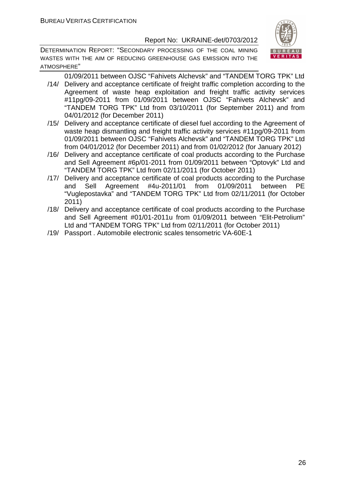DETERMINATION REPORT: "SECONDARY PROCESSING OF THE COAL MINING WASTES WITH THE AIM OF REDUCING GREENHOUSE GAS EMISSION INTO THE ATMOSPHERE"



01/09/2011 between OJSC "Fahivets Alchevsk" and "TANDEM TORG TPK" Ltd /14/ Delivery and acceptance certificate of freight traffic completion according to the

- Agreement of waste heap exploitation and freight traffic activity services #11pg/09-2011 from 01/09/2011 between OJSC "Fahivets Alchevsk" and "TANDEM TORG TPK" Ltd from 03/10/2011 (for September 2011) and from 04/01/2012 (for December 2011)
- /15/ Delivery and acceptance certificate of diesel fuel according to the Agreement of waste heap dismantling and freight traffic activity services #11pg/09-2011 from 01/09/2011 between OJSC "Fahivets Alchevsk" and "TANDEM TORG TPK" Ltd from 04/01/2012 (for December 2011) and from 01/02/2012 (for January 2012)
- /16/ Delivery and acceptance certificate of coal products according to the Purchase and Sell Agreement #6p/01-2011 from 01/09/2011 between "Optovyk" Ltd and "TANDEM TORG TPK" Ltd from 02/11/2011 (for October 2011)
- /17/ Delivery and acceptance certificate of coal products according to the Purchase and Sell Agreement #4u-2011/01 from 01/09/2011 between PE "Vuglepostavka" and "TANDEM TORG TPK" Ltd from 02/11/2011 (for October 2011)
- /18/ Delivery and acceptance certificate of coal products according to the Purchase and Sell Agreement #01/01-2011u from 01/09/2011 between "Elit-Petrolium" Ltd and "TANDEM TORG TPK" Ltd from 02/11/2011 (for October 2011)
- /19/ Passport . Automobile electronic scales tensometric VA-60E-1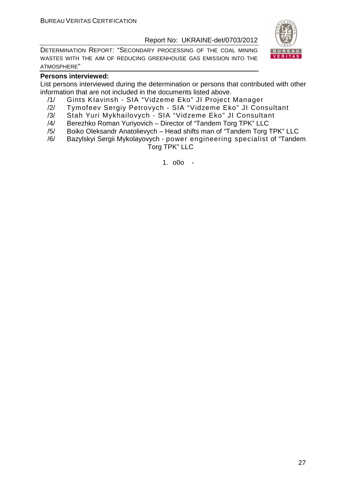DETERMINATION REPORT: "SECONDARY PROCESSING OF THE COAL MINING WASTES WITH THE AIM OF REDUCING GREENHOUSE GAS EMISSION INTO THE ATMOSPHERE"



# **Persons interviewed:**

List persons interviewed during the determination or persons that contributed with other information that are not included in the documents listed above.

- /1/ Gints KIavinsh SIA "Vidzeme Eko" JI Project Manager
- /2/ Tymofeev Sergiy Petrovych SIA "Vidzeme Eko" JI Consultant
- /3/ Stah Yuri Mykhailovych SIA "Vidzeme Eko" JI Consultant
- /4/ Berezhko Roman Yuriyovich Director of "Tandem Torg TPK" LLC
- /5/ Boiko Oleksandr Anatolievych Head shifts man of "Tandem Torg TPK" LLC
- /6/ Bazylskyi Sergii Mykolayovych power engineering specialist of "Tandem Torg TPK" LLC

1. o0o -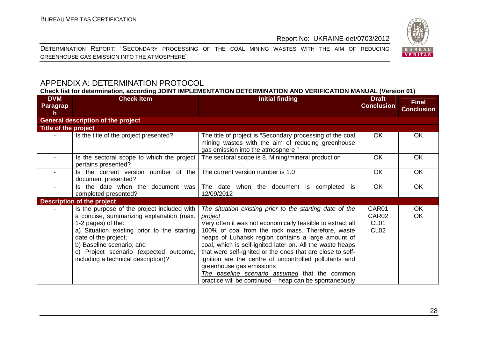DETERMINATION REPORT: "SECONDARY PROCESSING OF THE COAL MINING WASTES WITH THE AIM OF REDUCING GREENHOUSE GAS EMISSION INTO THE ATMOSPHERE"



# APPENDIX A: DETERMINATION PROTOCOL

**Check list for determination, according JOINT IMPLEMENTATION DETERMINATION AND VERIFICATION MANUAL (Version 01)** 

| <b>DVM</b><br><b>Paragrap</b><br>h | <b>Check Item</b>                                                                                                                                                                                                                                                                                  | <b>Initial finding</b>                                                                                                                                                                                                                                                                                                                                                                                                                                                                                                                                                          | <b>Draft</b><br><b>Conclusion</b>                                  | <b>Final</b><br><b>Conclusion</b> |
|------------------------------------|----------------------------------------------------------------------------------------------------------------------------------------------------------------------------------------------------------------------------------------------------------------------------------------------------|---------------------------------------------------------------------------------------------------------------------------------------------------------------------------------------------------------------------------------------------------------------------------------------------------------------------------------------------------------------------------------------------------------------------------------------------------------------------------------------------------------------------------------------------------------------------------------|--------------------------------------------------------------------|-----------------------------------|
|                                    | <b>General description of the project</b>                                                                                                                                                                                                                                                          |                                                                                                                                                                                                                                                                                                                                                                                                                                                                                                                                                                                 |                                                                    |                                   |
| Title of the project               |                                                                                                                                                                                                                                                                                                    |                                                                                                                                                                                                                                                                                                                                                                                                                                                                                                                                                                                 |                                                                    |                                   |
|                                    | Is the title of the project presented?                                                                                                                                                                                                                                                             | The title of project is "Secondary processing of the coal<br>mining wastes with the aim of reducing greenhouse<br>gas emission into the atmosphere"                                                                                                                                                                                                                                                                                                                                                                                                                             | OK.                                                                | <b>OK</b>                         |
|                                    | Is the sectoral scope to which the project<br>pertains presented?                                                                                                                                                                                                                                  | The sectoral scope is 8. Mining/mineral production                                                                                                                                                                                                                                                                                                                                                                                                                                                                                                                              | <b>OK</b>                                                          | <b>OK</b>                         |
|                                    | Is the current version number of the<br>document presented?                                                                                                                                                                                                                                        | The current version number is 1.0                                                                                                                                                                                                                                                                                                                                                                                                                                                                                                                                               | <b>OK</b>                                                          | <b>OK</b>                         |
|                                    | Is the date when the<br>document was<br>completed presented?                                                                                                                                                                                                                                       | The date<br>when the document is<br>completed is<br>12/09/2012                                                                                                                                                                                                                                                                                                                                                                                                                                                                                                                  | <b>OK</b>                                                          | <b>OK</b>                         |
|                                    | <b>Description of the project</b>                                                                                                                                                                                                                                                                  |                                                                                                                                                                                                                                                                                                                                                                                                                                                                                                                                                                                 |                                                                    |                                   |
|                                    | Is the purpose of the project included with<br>a concise, summarizing explanation (max.<br>1-2 pages) of the:<br>a) Situation existing prior to the starting<br>date of the project;<br>b) Baseline scenario; and<br>c) Project scenario (expected outcome,<br>including a technical description)? | The situation existing prior to the starting date of the<br><i>project</i><br>Very often it was not economically feasible to extract all<br>100% of coal from the rock mass. Therefore, waste<br>heaps of Luhansk region contains a large amount of<br>coal, which is self-ignited later on. All the waste heaps<br>that were self-ignited or the ones that are close to self-<br>ignition are the centre of uncontrolled pollutants and<br>greenhouse gas emissions<br>The baseline scenario assumed that the common<br>practice will be continued - heap can be spontaneously | CAR01<br>CAR <sub>02</sub><br>CL <sub>01</sub><br>CL <sub>02</sub> | OK<br>OK                          |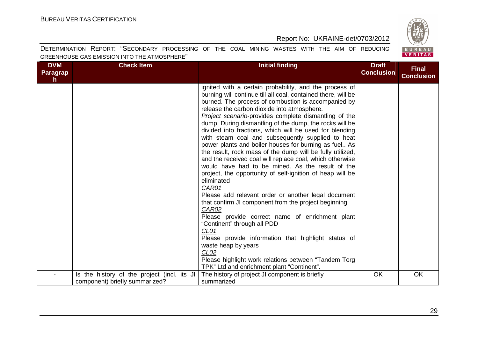BUREAU<br>VERITAS

# Report No: UKRAINE-det/0703/2012

| <b>DVM</b><br>Paragrap<br>h. | <b>Check Item</b>                                                             | <b>Initial finding</b>                                                                                                                                                                                                                                                                                                                                                                                                                                                                                                                                                                                                                                                                                                                                                                                                                                                                                                                                                                                                                                                                                                                                                                                                                   | <b>Draft</b><br><b>Conclusion</b> | <b>Final</b><br><b>Conclusion</b> |
|------------------------------|-------------------------------------------------------------------------------|------------------------------------------------------------------------------------------------------------------------------------------------------------------------------------------------------------------------------------------------------------------------------------------------------------------------------------------------------------------------------------------------------------------------------------------------------------------------------------------------------------------------------------------------------------------------------------------------------------------------------------------------------------------------------------------------------------------------------------------------------------------------------------------------------------------------------------------------------------------------------------------------------------------------------------------------------------------------------------------------------------------------------------------------------------------------------------------------------------------------------------------------------------------------------------------------------------------------------------------|-----------------------------------|-----------------------------------|
|                              |                                                                               | ignited with a certain probability, and the process of<br>burning will continue till all coal, contained there, will be<br>burned. The process of combustion is accompanied by<br>release the carbon dioxide into atmosphere.<br><b>Project scenario-provides complete dismantling of the</b><br>dump. During dismantling of the dump, the rocks will be<br>divided into fractions, which will be used for blending<br>with steam coal and subsequently supplied to heat<br>power plants and boiler houses for burning as fuel As<br>the result, rock mass of the dump will be fully utilized,<br>and the received coal will replace coal, which otherwise<br>would have had to be mined. As the result of the<br>project, the opportunity of self-ignition of heap will be<br>eliminated<br>CAR01<br>Please add relevant order or another legal document<br>that confirm JI component from the project beginning<br>CAR02<br>Please provide correct name of enrichment plant<br>"Continent" through all PDD<br>CL <sub>01</sub><br>Please provide information that highlight status of<br>waste heap by years<br>CL <sub>02</sub><br>Please highlight work relations between "Tandem Torg<br>TPK" Ltd and enrichment plant "Continent". |                                   |                                   |
|                              | Is the history of the project (incl. its JI<br>component) briefly summarized? | The history of project JI component is briefly<br>summarized                                                                                                                                                                                                                                                                                                                                                                                                                                                                                                                                                                                                                                                                                                                                                                                                                                                                                                                                                                                                                                                                                                                                                                             | OK                                | OK                                |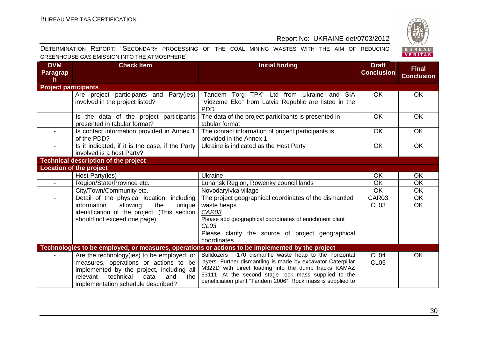

| <b>DVM</b><br>Paragrap<br>h | <b>Check Item</b>                                                                                                                                                                                                      | <b>Initial finding</b>                                                                                                                                                                                                                                                                                 | <b>Draft</b><br><b>Conclusion</b>    | <b>Final</b><br><b>Conclusion</b> |
|-----------------------------|------------------------------------------------------------------------------------------------------------------------------------------------------------------------------------------------------------------------|--------------------------------------------------------------------------------------------------------------------------------------------------------------------------------------------------------------------------------------------------------------------------------------------------------|--------------------------------------|-----------------------------------|
| <b>Project participants</b> |                                                                                                                                                                                                                        |                                                                                                                                                                                                                                                                                                        |                                      |                                   |
|                             | Are project participants and<br>Party(ies)<br>involved in the project listed?                                                                                                                                          | "Tandem Torg TPK" Ltd from Ukraine and SIA<br>"Vidzeme Eko" from Latvia Republic are listed in the<br><b>PDD</b>                                                                                                                                                                                       | <b>OK</b>                            | <b>OK</b>                         |
| $\overline{\phantom{0}}$    | Is the data of the project participants<br>presented in tabular format?                                                                                                                                                | The data of the project participants is presented in<br>tabular format                                                                                                                                                                                                                                 | <b>OK</b>                            | <b>OK</b>                         |
|                             | Is contact information provided in Annex 1<br>of the PDD?                                                                                                                                                              | The contact information of project participants is<br>provided in the Annex 1                                                                                                                                                                                                                          | OK                                   | <b>OK</b>                         |
|                             | Is it indicated, if it is the case, if the Party<br>involved is a host Party?                                                                                                                                          | Ukraine is indicated as the Host Party                                                                                                                                                                                                                                                                 | OK                                   | <b>OK</b>                         |
|                             | <b>Technical description of the project</b>                                                                                                                                                                            |                                                                                                                                                                                                                                                                                                        |                                      |                                   |
|                             | <b>Location of the project</b>                                                                                                                                                                                         |                                                                                                                                                                                                                                                                                                        |                                      |                                   |
|                             | Host Party(ies)                                                                                                                                                                                                        | <b>Ukraine</b>                                                                                                                                                                                                                                                                                         | OK                                   | <b>OK</b>                         |
|                             | Region/State/Province etc.                                                                                                                                                                                             | Luhansk Region, Rowenky council lands                                                                                                                                                                                                                                                                  | <b>OK</b>                            | <b>OK</b>                         |
| $\sim$                      | City/Town/Community etc.                                                                                                                                                                                               | Novodaryivka village                                                                                                                                                                                                                                                                                   | <b>OK</b>                            | OK                                |
|                             | Detail of the physical location, including<br>allowing<br>information<br>the<br>unique<br>identification of the project. (This section<br>should not exceed one page)                                                  | The project geographical coordinates of the dismantled<br>waste heaps<br><b>CAR03</b><br>Please add geographical coordinates of enrichment plant<br>CL <sub>03</sub><br>Please clarify the source of project geographical<br>coordinates                                                               | CAR03<br><b>CL03</b>                 | $\overline{OK}$<br><b>OK</b>      |
|                             |                                                                                                                                                                                                                        | Technologies to be employed, or measures, operations or actions to be implemented by the project                                                                                                                                                                                                       |                                      |                                   |
|                             | Are the technology (ies) to be employed, or<br>measures, operations or actions to be<br>implemented by the project, including all<br>technical<br>relevant<br>data<br>and<br>the<br>implementation schedule described? | Bulldozers T-170 dismantle waste heap to the horizontal<br>layers. Further dismantling is made by excavator Caterpillar<br>M322D with direct loading into the dump tracks KAMAZ<br>53111. At the second stage rock mass supplied to the<br>beneficiation plant "Tandem 2006". Rock mass is supplied to | CL <sub>04</sub><br>CL <sub>05</sub> | <b>OK</b>                         |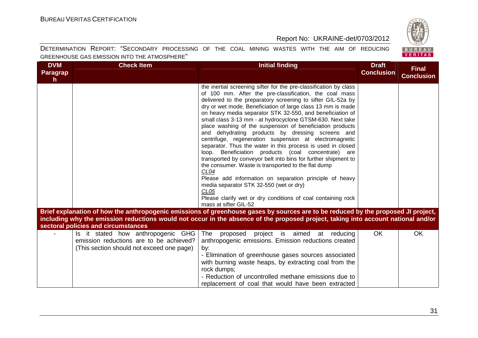

| <b>DVM</b><br><b>Paragrap</b><br>$\mathsf{h}$                                                                                                                                                                                                                          | <b>Check Item</b>                                                                                                          | <b>Initial finding</b>                                                                                                                                                                                                                                                                                                                                                                                                                                                                                                                                                                                                                                                                                                                                                                                                                                                                                                                                                                                                                               | <b>Draft</b><br><b>Conclusion</b> | <b>Final</b><br><b>Conclusion</b> |  |  |  |
|------------------------------------------------------------------------------------------------------------------------------------------------------------------------------------------------------------------------------------------------------------------------|----------------------------------------------------------------------------------------------------------------------------|------------------------------------------------------------------------------------------------------------------------------------------------------------------------------------------------------------------------------------------------------------------------------------------------------------------------------------------------------------------------------------------------------------------------------------------------------------------------------------------------------------------------------------------------------------------------------------------------------------------------------------------------------------------------------------------------------------------------------------------------------------------------------------------------------------------------------------------------------------------------------------------------------------------------------------------------------------------------------------------------------------------------------------------------------|-----------------------------------|-----------------------------------|--|--|--|
|                                                                                                                                                                                                                                                                        |                                                                                                                            | the inertial screening sifter for the pre-classification by class<br>of 100 mm. After the pre-classification, the coal mass<br>delivered to the preparatory screening to sifter GIL-52a by<br>dry or wet mode. Beneficiation of large class 13 mm is made<br>on heavy media separator STK 32-550, and beneficiation of<br>small class 3-13 mm - at hydrocyclone GTSM-630. Next take<br>place washing of the suspension of beneficiation products<br>and dehydrating products by dressing screens and<br>centrifuge, regeneration suspension at electromagnetic<br>separator. Thus the water in this process is used in closed<br>loop. Beneficiation products (coal concentrate) are<br>transported by conveyor belt into bins for further shipment to<br>the consumer. Waste is transported to the flat dump<br>CL <sub>04</sub><br>Please add information on separation principle of heavy<br>media separator STK 32-550 (wet or dry)<br>CL <sub>05</sub><br>Please clarify wet or dry conditions of coal containing rock<br>mass at sifter GIL-52 |                                   |                                   |  |  |  |
| Brief explanation of how the anthropogenic emissions of greenhouse gases by sources are to be reduced by the proposed JI project,<br>including why the emission reductions would not occur in the absence of the proposed project, taking into account national and/or |                                                                                                                            |                                                                                                                                                                                                                                                                                                                                                                                                                                                                                                                                                                                                                                                                                                                                                                                                                                                                                                                                                                                                                                                      |                                   |                                   |  |  |  |
|                                                                                                                                                                                                                                                                        | sectoral policies and circumstances                                                                                        |                                                                                                                                                                                                                                                                                                                                                                                                                                                                                                                                                                                                                                                                                                                                                                                                                                                                                                                                                                                                                                                      |                                   |                                   |  |  |  |
|                                                                                                                                                                                                                                                                        | Is it stated how anthropogenic GHG<br>emission reductions are to be achieved?<br>(This section should not exceed one page) | proposed project is aimed at reducing<br>The<br>anthropogenic emissions. Emission reductions created<br>by:<br>- Elimination of greenhouse gases sources associated<br>with burning waste heaps, by extracting coal from the<br>rock dumps;<br>- Reduction of uncontrolled methane emissions due to<br>replacement of coal that would have been extracted                                                                                                                                                                                                                                                                                                                                                                                                                                                                                                                                                                                                                                                                                            | <b>OK</b>                         | <b>OK</b>                         |  |  |  |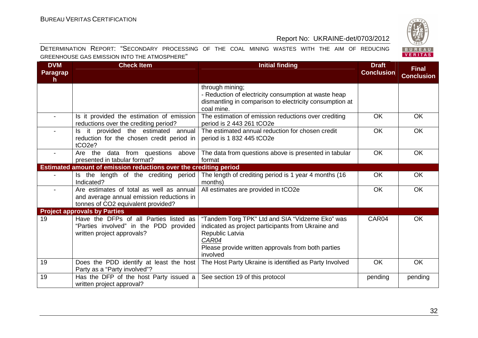

| <b>DVM</b><br><b>Paragrap</b><br>h. | <b>Check Item</b>                                                                                                           | <b>Initial finding</b>                                                                                                                                                                              | <b>Draft</b><br><b>Conclusion</b> | <b>Final</b><br><b>Conclusion</b> |
|-------------------------------------|-----------------------------------------------------------------------------------------------------------------------------|-----------------------------------------------------------------------------------------------------------------------------------------------------------------------------------------------------|-----------------------------------|-----------------------------------|
|                                     |                                                                                                                             | through mining;<br>- Reduction of electricity consumption at waste heap<br>dismantling in comparison to electricity consumption at<br>coal mine.                                                    |                                   |                                   |
|                                     | Is it provided the estimation of emission<br>reductions over the crediting period?                                          | The estimation of emission reductions over crediting<br>period is 2 443 261 tCO2e                                                                                                                   | <b>OK</b>                         | <b>OK</b>                         |
|                                     | Is it provided the estimated annual<br>reduction for the chosen credit period in<br>tCO <sub>2e</sub> ?                     | The estimated annual reduction for chosen credit<br>period is 1 832 445 tCO2e                                                                                                                       | <b>OK</b>                         | OK                                |
|                                     | data from questions above<br>Are the<br>presented in tabular format?                                                        | The data from questions above is presented in tabular<br>format                                                                                                                                     | <b>OK</b>                         | OK                                |
|                                     | Estimated amount of emission reductions over the crediting period                                                           |                                                                                                                                                                                                     |                                   |                                   |
|                                     | Is the length of the crediting period<br>Indicated?                                                                         | The length of crediting period is 1 year 4 months (16<br>months)                                                                                                                                    | OK                                | OK                                |
|                                     | Are estimates of total as well as annual<br>and average annual emission reductions in<br>tonnes of CO2 equivalent provided? | All estimates are provided in tCO2e                                                                                                                                                                 | <b>OK</b>                         | OK                                |
|                                     | <b>Project approvals by Parties</b>                                                                                         |                                                                                                                                                                                                     |                                   |                                   |
| 19                                  | Have the DFPs of all Parties listed as<br>"Parties involved" in the PDD provided<br>written project approvals?              | "Tandem Torg TPK" Ltd and SIA "Vidzeme Eko" was<br>indicated as project participants from Ukraine and<br>Republic Latvia<br>CAR04<br>Please provide written approvals from both parties<br>involved | CAR04                             | <b>OK</b>                         |
| 19                                  | Does the PDD identify at least the host<br>Party as a "Party involved"?                                                     | The Host Party Ukraine is identified as Party Involved                                                                                                                                              | OK                                | OK                                |
| 19                                  | Has the DFP of the host Party issued a<br>written project approval?                                                         | See section 19 of this protocol                                                                                                                                                                     | pending                           | pending                           |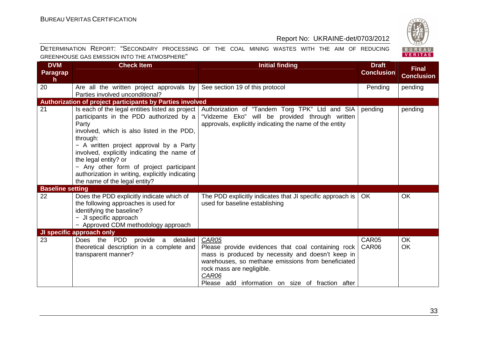

| <b>DVM</b><br>Paragrap<br>h. | <b>Check Item</b>                                                                                                                                                                                                                                                                                                                                                                                              | <b>Initial finding</b>                                                                                                                                                                                                                                           | <b>Draft</b><br><b>Conclusion</b> | <b>Final</b><br><b>Conclusion</b> |  |
|------------------------------|----------------------------------------------------------------------------------------------------------------------------------------------------------------------------------------------------------------------------------------------------------------------------------------------------------------------------------------------------------------------------------------------------------------|------------------------------------------------------------------------------------------------------------------------------------------------------------------------------------------------------------------------------------------------------------------|-----------------------------------|-----------------------------------|--|
| 20                           | Are all the written project approvals by<br>Parties involved unconditional?                                                                                                                                                                                                                                                                                                                                    | See section 19 of this protocol                                                                                                                                                                                                                                  | Pending                           | pending                           |  |
|                              | Authorization of project participants by Parties involved                                                                                                                                                                                                                                                                                                                                                      |                                                                                                                                                                                                                                                                  |                                   |                                   |  |
| 21                           | Is each of the legal entities listed as project<br>participants in the PDD authorized by a<br>Party<br>involved, which is also listed in the PDD,<br>through:<br>- A written project approval by a Party<br>involved, explicitly indicating the name of<br>the legal entity? or<br>- Any other form of project participant<br>authorization in writing, explicitly indicating<br>the name of the legal entity? | Authorization of "Tandem Torg TPK" Ltd and SIA<br>"Vidzeme Eko" will be provided through written<br>approvals, explicitly indicating the name of the entity                                                                                                      | pending                           | pending                           |  |
| <b>Baseline setting</b>      |                                                                                                                                                                                                                                                                                                                                                                                                                |                                                                                                                                                                                                                                                                  |                                   |                                   |  |
| 22                           | Does the PDD explicitly indicate which of<br>the following approaches is used for<br>identifying the baseline?<br>- JI specific approach<br>- Approved CDM methodology approach                                                                                                                                                                                                                                | The PDD explicitly indicates that JI specific approach is<br>used for baseline establishing                                                                                                                                                                      | OK.                               | <b>OK</b>                         |  |
|                              | JI specific approach only                                                                                                                                                                                                                                                                                                                                                                                      |                                                                                                                                                                                                                                                                  |                                   |                                   |  |
| 23                           | Does the PDD provide a detailed<br>theoretical description in a complete and<br>transparent manner?                                                                                                                                                                                                                                                                                                            | CAR05<br>Please provide evidences that coal containing rock<br>mass is produced by necessity and doesn't keep in<br>warehouses, so methane emissions from beneficiated<br>rock mass are negligible.<br>CAR06<br>Please add information on size of fraction after | CAR05<br>CAR06                    | <b>OK</b><br><b>OK</b>            |  |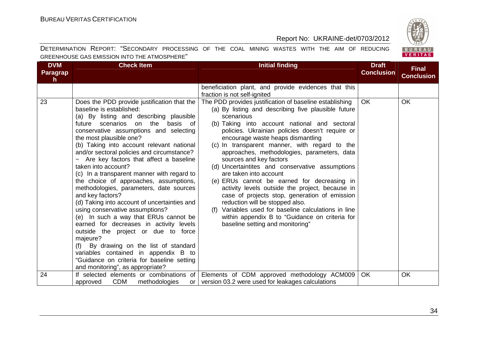

| <b>DVM</b><br>Paragrap<br>h. | <b>Check Item</b>                                                                                                                                                                                                                                                                                                                                                                                                                                                                                                                                                                                                                                                                                                                                                                                                                                                                                                                               | <b>Initial finding</b>                                                                                                                                                                                                                                                                                                                                                                                                                                                                                                                                                                                                                                                                                                                                                                                            | <b>Draft</b><br><b>Conclusion</b> | <b>Final</b><br><b>Conclusion</b> |
|------------------------------|-------------------------------------------------------------------------------------------------------------------------------------------------------------------------------------------------------------------------------------------------------------------------------------------------------------------------------------------------------------------------------------------------------------------------------------------------------------------------------------------------------------------------------------------------------------------------------------------------------------------------------------------------------------------------------------------------------------------------------------------------------------------------------------------------------------------------------------------------------------------------------------------------------------------------------------------------|-------------------------------------------------------------------------------------------------------------------------------------------------------------------------------------------------------------------------------------------------------------------------------------------------------------------------------------------------------------------------------------------------------------------------------------------------------------------------------------------------------------------------------------------------------------------------------------------------------------------------------------------------------------------------------------------------------------------------------------------------------------------------------------------------------------------|-----------------------------------|-----------------------------------|
|                              |                                                                                                                                                                                                                                                                                                                                                                                                                                                                                                                                                                                                                                                                                                                                                                                                                                                                                                                                                 | beneficiation plant, and provide evidences that this<br>fraction is not self-ignited                                                                                                                                                                                                                                                                                                                                                                                                                                                                                                                                                                                                                                                                                                                              |                                   |                                   |
| 23                           | Does the PDD provide justification that the<br>baseline is established:<br>(a) By listing and describing plausible<br>future scenarios on the<br>basis of<br>conservative assumptions and selecting<br>the most plausible one?<br>(b) Taking into account relevant national<br>and/or sectoral policies and circumstance?<br>Are key factors that affect a baseline<br>taken into account?<br>(c) In a transparent manner with regard to<br>the choice of approaches, assumptions,<br>methodologies, parameters, date sources<br>and key factors?<br>(d) Taking into account of uncertainties and<br>using conservative assumptions?<br>(e) In such a way that ERUs cannot be<br>earned for decreases in activity levels<br>outside the project or due to force<br>majeure?<br>(f) By drawing on the list of standard<br>variables contained in appendix B to<br>"Guidance on criteria for baseline setting<br>and monitoring", as appropriate? | The PDD provides justification of baseline establishing<br>(a) By listing and describing five plausible future<br>scenarious<br>(b) Taking into account national and sectoral<br>policies. Ukrainian policies doesn't require or<br>encourage waste heaps dismantling<br>(c) In transparent manner, with regard to the<br>approaches, methodologies, parameters, data<br>sources and key factors<br>(d) Uncertaintites and conservative assumptions<br>are taken into account<br>(e) ERUs cannot be earned for decreasing in<br>activity levels outside the project, because in<br>case of projects stop, generation of emission<br>reduction will be stopped also.<br>(f) Variables used for baseline calculations in line<br>within appendix B to "Guidance on criteria for<br>baseline setting and monitoring" | <b>OK</b>                         | <b>OK</b>                         |
| 24                           | If selected elements or combinations of<br><b>CDM</b><br>methodologies<br>approved<br>or I                                                                                                                                                                                                                                                                                                                                                                                                                                                                                                                                                                                                                                                                                                                                                                                                                                                      | Elements of CDM approved methodology ACM009<br>version 03.2 were used for leakages calculations                                                                                                                                                                                                                                                                                                                                                                                                                                                                                                                                                                                                                                                                                                                   | <b>OK</b>                         | <b>OK</b>                         |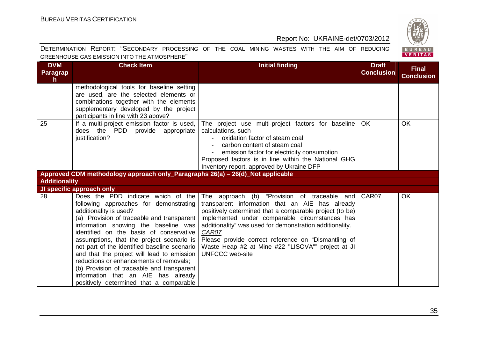BUREAU<br>VERITAS

# Report No: UKRAINE-det/0703/2012

| <b>DVM</b>                                   | Chack Itam                                                                                     |  |  |  |  |  | Initial finding |  |  | Nraft |  |
|----------------------------------------------|------------------------------------------------------------------------------------------------|--|--|--|--|--|-----------------|--|--|-------|--|
| GREENHOUSE GAS EMISSION INTO THE ATMOSPHERE" |                                                                                                |  |  |  |  |  |                 |  |  |       |  |
|                                              | DETERMINATION REPORT: "SECONDARY PROCESSING OF THE COAL MINING WASTES WITH THE AIM OF REDUCING |  |  |  |  |  |                 |  |  |       |  |

| <b>DVM</b><br><b>Paragrap</b><br>$\mathsf{h}$ | <b>Check Item</b>                                                                                                                                                                                                                                                                                                                                                                                                                                                                                                                                             | Initial finding                                                                                                                                                                                                                                                                                                                                                                                                         | <b>Draft</b><br><b>Conclusion</b> | <b>Final</b><br><b>Conclusion</b> |
|-----------------------------------------------|---------------------------------------------------------------------------------------------------------------------------------------------------------------------------------------------------------------------------------------------------------------------------------------------------------------------------------------------------------------------------------------------------------------------------------------------------------------------------------------------------------------------------------------------------------------|-------------------------------------------------------------------------------------------------------------------------------------------------------------------------------------------------------------------------------------------------------------------------------------------------------------------------------------------------------------------------------------------------------------------------|-----------------------------------|-----------------------------------|
|                                               | methodological tools for baseline setting<br>are used, are the selected elements or<br>combinations together with the elements<br>supplementary developed by the project<br>participants in line with 23 above?                                                                                                                                                                                                                                                                                                                                               |                                                                                                                                                                                                                                                                                                                                                                                                                         |                                   |                                   |
| 25                                            | If a multi-project emission factor is used,<br>does the PDD provide appropriate<br>justification?                                                                                                                                                                                                                                                                                                                                                                                                                                                             | The project use multi-project factors for baseline<br>calculations, such<br>oxidation factor of steam coal<br>carbon content of steam coal<br>emission factor for electricity consumption<br>Proposed factors is in line within the National GHG<br>Inventory report, approved by Ukraine DFP                                                                                                                           | <b>OK</b>                         | OK                                |
|                                               | Approved CDM methodology approach only_Paragraphs 26(a) – 26(d)_Not applicable                                                                                                                                                                                                                                                                                                                                                                                                                                                                                |                                                                                                                                                                                                                                                                                                                                                                                                                         |                                   |                                   |
| <b>Additionality</b>                          |                                                                                                                                                                                                                                                                                                                                                                                                                                                                                                                                                               |                                                                                                                                                                                                                                                                                                                                                                                                                         |                                   |                                   |
|                                               | JI specific approach only                                                                                                                                                                                                                                                                                                                                                                                                                                                                                                                                     |                                                                                                                                                                                                                                                                                                                                                                                                                         |                                   |                                   |
| 28                                            | Does the PDD indicate which of the<br>following approaches for demonstrating<br>additionality is used?<br>(a) Provision of traceable and transparent<br>information showing the baseline was<br>identified on the basis of conservative<br>assumptions, that the project scenario is<br>not part of the identified baseline scenario<br>and that the project will lead to emission<br>reductions or enhancements of removals;<br>(b) Provision of traceable and transparent<br>information that an AIE has already<br>positively determined that a comparable | The approach (b) "Provision of traceable and<br>transparent information that an AIE has already<br>positively determined that a comparable project (to be)<br>implemented under comparable circumstances has<br>additionality" was used for demonstration additionality.<br>CAR07<br>Please provide correct reference on "Dismantling of<br>Waste Heap #2 at Mine #22 "LISOVA"" project at JI<br><b>UNFCCC</b> web-site | CAR07                             | OK                                |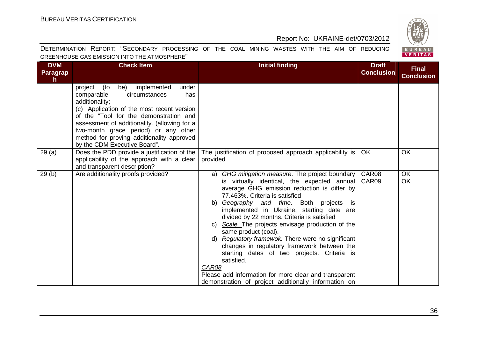

| <b>DVM</b><br>Paragrap<br>h. | <b>Check Item</b>                                                                                                                                                                                                                                                                                                                                               | <b>Initial finding</b>                                                                                                                                                                                                                                                                                                                                                                                                                                                                                                                                                                                                                                                                         | <b>Draft</b><br><b>Conclusion</b> | <b>Final</b><br><b>Conclusion</b> |
|------------------------------|-----------------------------------------------------------------------------------------------------------------------------------------------------------------------------------------------------------------------------------------------------------------------------------------------------------------------------------------------------------------|------------------------------------------------------------------------------------------------------------------------------------------------------------------------------------------------------------------------------------------------------------------------------------------------------------------------------------------------------------------------------------------------------------------------------------------------------------------------------------------------------------------------------------------------------------------------------------------------------------------------------------------------------------------------------------------------|-----------------------------------|-----------------------------------|
|                              | be) implemented<br>(to<br>under<br>project<br>comparable<br>circumstances<br>has<br>additionality;<br>(c) Application of the most recent version<br>of the "Tool for the demonstration and<br>assessment of additionality. (allowing for a<br>two-month grace period) or any other<br>method for proving additionality approved<br>by the CDM Executive Board". |                                                                                                                                                                                                                                                                                                                                                                                                                                                                                                                                                                                                                                                                                                |                                   |                                   |
| 29(a)                        | Does the PDD provide a justification of the<br>applicability of the approach with a clear<br>and transparent description?                                                                                                                                                                                                                                       | The justification of proposed approach applicability is<br>provided                                                                                                                                                                                                                                                                                                                                                                                                                                                                                                                                                                                                                            | <b>OK</b>                         | OK                                |
| 29(b)                        | Are additionality proofs provided?                                                                                                                                                                                                                                                                                                                              | a) GHG mitigation measure. The project boundary<br>is virtually identical, the expected annual<br>average GHG emission reduction is differ by<br>77.463%. Criteria is satisfied<br>b) Geography and time. Both projects is<br>implemented in Ukraine, starting date are<br>divided by 22 months. Criteria is satisfied<br>c) Scale. The projects envisage production of the<br>same product (coal).<br>d) Regulatory framewok. There were no significant<br>changes in regulatory framework between the<br>starting dates of two projects. Criteria is<br>satisfied.<br>CAR08<br>Please add information for more clear and transparent<br>demonstration of project additionally information on | CAR08<br>CAR09                    | OK<br><b>OK</b>                   |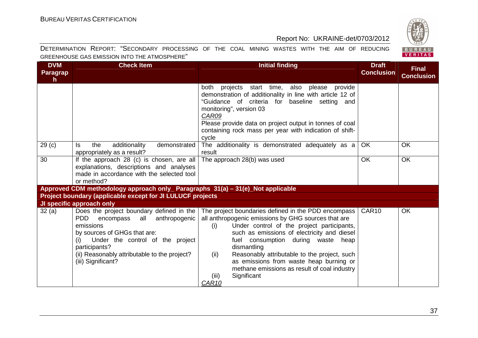

| <b>DVM</b><br>Paragrap<br>h. | <b>Check Item</b>                                                                                                                                                                                                                                                          | <b>Initial finding</b>                                                                                                                                                                                                                                                                                                                                                                                                                                              | <b>Draft</b><br><b>Conclusion</b> | <b>Final</b><br><b>Conclusion</b> |
|------------------------------|----------------------------------------------------------------------------------------------------------------------------------------------------------------------------------------------------------------------------------------------------------------------------|---------------------------------------------------------------------------------------------------------------------------------------------------------------------------------------------------------------------------------------------------------------------------------------------------------------------------------------------------------------------------------------------------------------------------------------------------------------------|-----------------------------------|-----------------------------------|
|                              |                                                                                                                                                                                                                                                                            | both projects start time, also please<br>provide<br>demonstration of additionality in line with article 12 of<br>"Guidance of criteria for baseline setting and<br>monitoring", version 03<br>CAR09<br>Please provide data on project output in tonnes of coal<br>containing rock mass per year with indication of shift-<br>cycle                                                                                                                                  |                                   |                                   |
| 29 <sub>(c)</sub>            | additionality<br>demonstrated<br>ls.<br>the<br>appropriately as a result?                                                                                                                                                                                                  | The additionality is demonstrated adequately as a<br>result                                                                                                                                                                                                                                                                                                                                                                                                         | OK                                | <b>OK</b>                         |
| 30                           | If the approach 28 (c) is chosen, are all<br>explanations, descriptions and analyses<br>made in accordance with the selected tool<br>or method?                                                                                                                            | The approach 28(b) was used                                                                                                                                                                                                                                                                                                                                                                                                                                         | <b>OK</b>                         | OK                                |
|                              | Approved CDM methodology approach only_ Paragraphs 31(a) - 31(e)_Not applicable                                                                                                                                                                                            |                                                                                                                                                                                                                                                                                                                                                                                                                                                                     |                                   |                                   |
|                              | Project boundary (applicable except for JI LULUCF projects                                                                                                                                                                                                                 |                                                                                                                                                                                                                                                                                                                                                                                                                                                                     |                                   |                                   |
|                              | JI specific approach only                                                                                                                                                                                                                                                  |                                                                                                                                                                                                                                                                                                                                                                                                                                                                     |                                   |                                   |
| 32(a)                        | Does the project boundary defined in the<br><b>PDD</b><br>anthropogenic<br>encompass<br>all<br>emissions<br>by sources of GHGs that are:<br>Under the control of the project<br>(i)<br>participants?<br>(ii) Reasonably attributable to the project?<br>(iii) Significant? | The project boundaries defined in the PDD encompass<br>all anthropogenic emissions by GHG sources that are<br>Under control of the project participants,<br>(i)<br>such as emissions of electricity and diesel<br>fuel consumption during waste heap<br>dismantling<br>Reasonably attributable to the project, such<br>(ii)<br>as emissions from waste heap burning or<br>methane emissions as result of coal industry<br>Significant<br>(iii)<br>CAR <sub>10</sub> | CAR10                             | OK                                |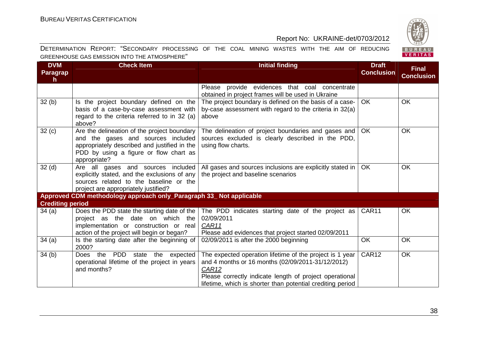

| <b>DVM</b><br>Paragrap<br>h | <b>Check Item</b>                                                                                                                                                                           | <b>Initial finding</b>                                                                                                                                                                                                                          | <b>Draft</b><br><b>Conclusion</b> | <b>Final</b><br><b>Conclusion</b> |
|-----------------------------|---------------------------------------------------------------------------------------------------------------------------------------------------------------------------------------------|-------------------------------------------------------------------------------------------------------------------------------------------------------------------------------------------------------------------------------------------------|-----------------------------------|-----------------------------------|
|                             |                                                                                                                                                                                             | Please provide evidences that coal concentrate<br>obtained in project frames will be used in Ukraine                                                                                                                                            |                                   |                                   |
| 32(b)                       | Is the project boundary defined on the<br>basis of a case-by-case assessment with<br>regard to the criteria referred to in 32 (a)<br>above?                                                 | The project boundary is defined on the basis of a case-<br>by-case assessment with regard to the criteria in 32(a)<br>above                                                                                                                     | <b>OK</b>                         | <b>OK</b>                         |
| 32(c)                       | Are the delineation of the project boundary<br>and the gases and sources included<br>appropriately described and justified in the<br>PDD by using a figure or flow chart as<br>appropriate? | The delineation of project boundaries and gases and<br>sources excluded is clearly described in the PDD,<br>using flow charts.                                                                                                                  | <b>OK</b>                         | <b>OK</b>                         |
| 32 <sub>(d)</sub>           | Are all gases and sources included<br>explicitly stated, and the exclusions of any<br>sources related to the baseline or the<br>project are appropriately justified?                        | All gases and sources inclusions are explicitly stated in  <br>the project and baseline scenarios                                                                                                                                               | <b>OK</b>                         | <b>OK</b>                         |
|                             | Approved CDM methodology approach only_Paragraph 33_ Not applicable                                                                                                                         |                                                                                                                                                                                                                                                 |                                   |                                   |
| <b>Crediting period</b>     |                                                                                                                                                                                             |                                                                                                                                                                                                                                                 |                                   |                                   |
| 34(a)                       | Does the PDD state the starting date of the<br>project as the date on which the<br>implementation or construction or real<br>action of the project will begin or began?                     | The PDD indicates starting date of the project as  <br>02/09/2011<br>CAR11<br>Please add evidences that project started 02/09/2011                                                                                                              | CAR11                             | <b>OK</b>                         |
| 34(a)                       | Is the starting date after the beginning of<br>2000?                                                                                                                                        | 02/09/2011 is after the 2000 beginning                                                                                                                                                                                                          | <b>OK</b>                         | OK                                |
| 34(b)                       | Does the PDD<br>expected<br>state<br>the<br>operational lifetime of the project in years<br>and months?                                                                                     | The expected operation lifetime of the project is 1 year<br>and 4 months or 16 months (02/09/2011-31/12/2012)<br>CAR12<br>Please correctly indicate length of project operational<br>lifetime, which is shorter than potential crediting period | CAR <sub>12</sub>                 | <b>OK</b>                         |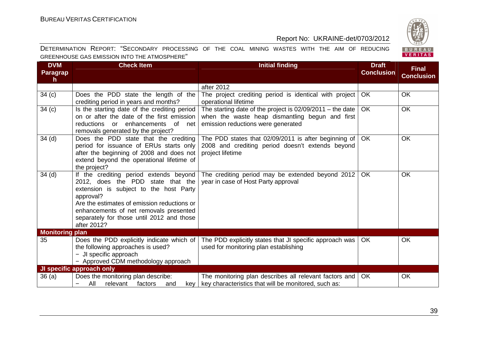

| <b>DVM</b><br>Paragrap<br>h. | <b>Check Item</b>                                                                                                                                                                                                                                                                       | <b>Initial finding</b>                                                                                                                                 | <b>Draft</b><br><b>Conclusion</b> | <b>Final</b><br><b>Conclusion</b> |
|------------------------------|-----------------------------------------------------------------------------------------------------------------------------------------------------------------------------------------------------------------------------------------------------------------------------------------|--------------------------------------------------------------------------------------------------------------------------------------------------------|-----------------------------------|-----------------------------------|
|                              |                                                                                                                                                                                                                                                                                         | after 2012                                                                                                                                             |                                   |                                   |
| 34(c)                        | Does the PDD state the length of the<br>crediting period in years and months?                                                                                                                                                                                                           | The project crediting period is identical with project<br>operational lifetime                                                                         | <b>OK</b>                         | OK                                |
| 34(c)                        | Is the starting date of the crediting period<br>on or after the date of the first emission<br>enhancements<br>reductions<br>$\alpha$<br>of net<br>removals generated by the project?                                                                                                    | The starting date of the project is $02/09/2011$ – the date  <br>when the waste heap dismantling begun and first<br>emission reductions were generated | <b>OK</b>                         | <b>OK</b>                         |
| 34 <sub>(d)</sub>            | Does the PDD state that the crediting<br>period for issuance of ERUs starts only<br>after the beginning of 2008 and does not<br>extend beyond the operational lifetime of<br>the project?                                                                                               | The PDD states that 02/09/2011 is after beginning of<br>2008 and crediting period doesn't extends beyond<br>project lifetime                           | OK                                | OK                                |
| 34 <sub>(d)</sub>            | If the crediting period extends beyond<br>2012, does the PDD state that the<br>extension is subject to the host Party<br>approval?<br>Are the estimates of emission reductions or<br>enhancements of net removals presented<br>separately for those until 2012 and those<br>after 2012? | The crediting period may be extended beyond 2012<br>year in case of Host Party approval                                                                | OK                                | OK                                |
| <b>Monitoring plan</b>       |                                                                                                                                                                                                                                                                                         |                                                                                                                                                        |                                   |                                   |
| 35                           | Does the PDD explicitly indicate which of<br>the following approaches is used?<br>- JI specific approach<br>- Approved CDM methodology approach                                                                                                                                         | The PDD explicitly states that JI specific approach was<br>used for monitoring plan establishing                                                       | <b>OK</b>                         | OK                                |
|                              | JI specific approach only<br>Does the monitoring plan describe:                                                                                                                                                                                                                         | The monitoring plan describes all relevant factors and                                                                                                 | <b>OK</b>                         | OK                                |
| 36(a)                        | All<br>relevant<br>factors<br>and<br>kev<br>-                                                                                                                                                                                                                                           | key characteristics that will be monitored, such as:                                                                                                   |                                   |                                   |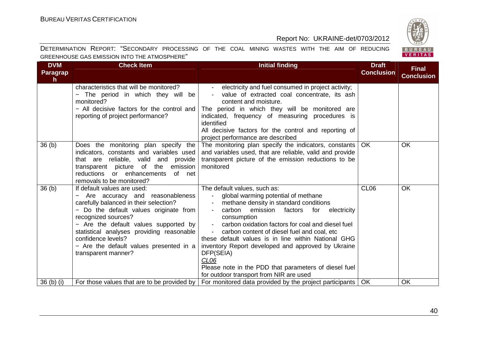

| <b>DVM</b><br><b>Paragrap</b><br>$\mathsf{h}$ | <b>Check Item</b>                                                                                                                                                                                                                                                                                                                                       | <b>Initial finding</b>                                                                                                                                                                                                                                                                                                                                                                                                                                                                                                                                                | <b>Draft</b><br><b>Conclusion</b> | <b>Final</b><br><b>Conclusion</b> |
|-----------------------------------------------|---------------------------------------------------------------------------------------------------------------------------------------------------------------------------------------------------------------------------------------------------------------------------------------------------------------------------------------------------------|-----------------------------------------------------------------------------------------------------------------------------------------------------------------------------------------------------------------------------------------------------------------------------------------------------------------------------------------------------------------------------------------------------------------------------------------------------------------------------------------------------------------------------------------------------------------------|-----------------------------------|-----------------------------------|
|                                               | characteristics that will be monitored?<br>The period in which they will be<br>monitored?<br>- All decisive factors for the control and<br>reporting of project performance?                                                                                                                                                                            | electricity and fuel consumed in project activity;<br>$\sim$<br>value of extracted coal concentrate, its ash<br>content and moisture.<br>The period in which they will be monitored are<br>indicated, frequency of measuring procedures is<br>identified<br>All decisive factors for the control and reporting of<br>project performance are described                                                                                                                                                                                                                |                                   |                                   |
| 36 <sub>(b)</sub>                             | Does the monitoring plan specify the<br>indicators, constants and variables used<br>that are reliable, valid and provide<br>transparent picture of the emission<br>reductions or enhancements of net<br>removals to be monitored?                                                                                                                       | The monitoring plan specify the indicators, constants<br>and variables used, that are reliable, valid and provide<br>transparent picture of the emission reductions to be<br>monitored                                                                                                                                                                                                                                                                                                                                                                                | <b>OK</b>                         | OK                                |
| 36 <sub>(b)</sub>                             | If default values are used:<br>Are accuracy and reasonableness<br>carefully balanced in their selection?<br>- Do the default values originate from<br>recognized sources?<br>- Are the default values supported by<br>statistical analyses providing reasonable<br>confidence levels?<br>- Are the default values presented in a<br>transparent manner? | The default values, such as:<br>global warming potential of methane<br>$\sim 100$<br>methane density in standard conditions<br>carbon<br>emission factors for<br>electricity<br>consumption<br>carbon oxidation factors for coal and diesel fuel<br>$\blacksquare$<br>- carbon content of diesel fuel and coal, etc<br>these default values is in line within National GHG<br>inventory Report developed and approved by Ukraine<br>DFP(SEIA)<br>CL <sub>06</sub><br>Please note in the PDD that parameters of diesel fuel<br>for outdoor transport from NIR are used | CL <sub>06</sub>                  | OK                                |
| $36$ (b) (i)                                  | For those values that are to be provided by                                                                                                                                                                                                                                                                                                             | For monitored data provided by the project participants   OK                                                                                                                                                                                                                                                                                                                                                                                                                                                                                                          |                                   | OK                                |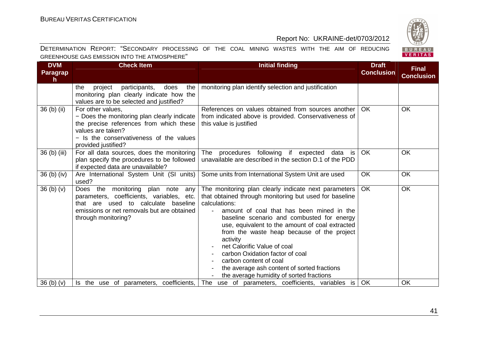

| <b>DVM</b><br><b>Paragrap</b><br>h | <b>Check Item</b>                                                                                                                                                                                  | <b>Initial finding</b>                                                                                                                                                                                                                                                                                                                                                                                                                                                                                                                           | <b>Draft</b><br><b>Conclusion</b> | <b>Final</b><br><b>Conclusion</b> |
|------------------------------------|----------------------------------------------------------------------------------------------------------------------------------------------------------------------------------------------------|--------------------------------------------------------------------------------------------------------------------------------------------------------------------------------------------------------------------------------------------------------------------------------------------------------------------------------------------------------------------------------------------------------------------------------------------------------------------------------------------------------------------------------------------------|-----------------------------------|-----------------------------------|
|                                    | participants,<br>the<br>project<br>does<br>the<br>monitoring plan clearly indicate how the<br>values are to be selected and justified?                                                             | monitoring plan identify selection and justification                                                                                                                                                                                                                                                                                                                                                                                                                                                                                             |                                   |                                   |
| 36 (b) (ii)                        | For other values,<br>- Does the monitoring plan clearly indicate<br>the precise references from which these<br>values are taken?<br>- Is the conservativeness of the values<br>provided justified? | References on values obtained from sources another<br>from indicated above is provided. Conservativeness of<br>this value is justified                                                                                                                                                                                                                                                                                                                                                                                                           | OK.                               | <b>OK</b>                         |
| 36 (b) (iii)                       | For all data sources, does the monitoring<br>plan specify the procedures to be followed<br>if expected data are unavailable?                                                                       | procedures following if expected<br>The<br>data<br>is<br>unavailable are described in the section D.1 of the PDD                                                                                                                                                                                                                                                                                                                                                                                                                                 | <b>OK</b>                         | <b>OK</b>                         |
| 36 (b) (iv)                        | Are International System Unit (SI units)<br>used?                                                                                                                                                  | Some units from International System Unit are used                                                                                                                                                                                                                                                                                                                                                                                                                                                                                               | <b>OK</b>                         | <b>OK</b>                         |
| 36 <sub>(b)</sub> <sub>(v)</sub>   | Does the monitoring plan note<br>any<br>parameters, coefficients, variables, etc.<br>that are used to calculate baseline<br>emissions or net removals but are obtained<br>through monitoring?      | The monitoring plan clearly indicate next parameters<br>that obtained through monitoring but used for baseline<br>calculations:<br>amount of coal that has been mined in the<br>$\blacksquare$<br>baseline scenario and combusted for energy<br>use, equivalent to the amount of coal extracted<br>from the waste heap because of the project<br>activity<br>net Calorific Value of coal<br>carbon Oxidation factor of coal<br>carbon content of coal<br>the average ash content of sorted fractions<br>the average humidity of sorted fractions | <b>OK</b>                         | <b>OK</b>                         |
| 36(h)(v)                           | Is the use of parameters, coefficients,                                                                                                                                                            | The use of parameters, coefficients, variables is                                                                                                                                                                                                                                                                                                                                                                                                                                                                                                | <b>OK</b>                         | OK                                |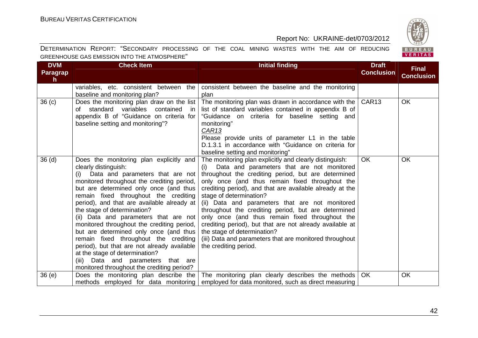

| <b>DVM</b><br><b>Paragrap</b><br>$\mathsf{h}$ | <b>Check Item</b>                                                                                                                                                                                                                                                                                                                                                                                                                                                                                                                                                                                                                                                       | <b>Initial finding</b>                                                                                                                                                                                                                                                                                                                                                                                                                                                                                                                                                                                                                                    | <b>Draft</b><br><b>Conclusion</b> | <b>Final</b><br><b>Conclusion</b> |
|-----------------------------------------------|-------------------------------------------------------------------------------------------------------------------------------------------------------------------------------------------------------------------------------------------------------------------------------------------------------------------------------------------------------------------------------------------------------------------------------------------------------------------------------------------------------------------------------------------------------------------------------------------------------------------------------------------------------------------------|-----------------------------------------------------------------------------------------------------------------------------------------------------------------------------------------------------------------------------------------------------------------------------------------------------------------------------------------------------------------------------------------------------------------------------------------------------------------------------------------------------------------------------------------------------------------------------------------------------------------------------------------------------------|-----------------------------------|-----------------------------------|
|                                               | variables, etc. consistent between the<br>baseline and monitoring plan?                                                                                                                                                                                                                                                                                                                                                                                                                                                                                                                                                                                                 | consistent between the baseline and the monitoring<br>plan                                                                                                                                                                                                                                                                                                                                                                                                                                                                                                                                                                                                |                                   |                                   |
| 36 <sub>(c)</sub>                             | Does the monitoring plan draw on the list<br>of standard variables contained<br>in<br>appendix B of "Guidance on criteria for<br>baseline setting and monitoring"?                                                                                                                                                                                                                                                                                                                                                                                                                                                                                                      | The monitoring plan was drawn in accordance with the $\sqrt{\text{CAR13}}$<br>list of standard variables contained in appendix B of<br>"Guidance on criteria for baseline setting and<br>monitoring"<br>CAR <sub>13</sub><br>Please provide units of parameter L1 in the table<br>D.1.3.1 in accordance with "Guidance on criteria for<br>baseline setting and monitoring"                                                                                                                                                                                                                                                                                |                                   | OK                                |
| 36 <sub>(d)</sub>                             | Does the monitoring plan explicitly and<br>clearly distinguish:<br>Data and parameters that are not<br>(i)<br>monitored throughout the crediting period,<br>but are determined only once (and thus<br>remain fixed throughout the crediting<br>period), and that are available already at<br>the stage of determination?<br>(ii) Data and parameters that are not<br>monitored throughout the crediting period,<br>but are determined only once (and thus<br>remain fixed throughout the crediting<br>period), but that are not already available<br>at the stage of determination?<br>(iii) Data and parameters that are<br>monitored throughout the crediting period? | The monitoring plan explicitly and clearly distinguish:<br>Data and parameters that are not monitored<br>(i)<br>throughout the crediting period, but are determined<br>only once (and thus remain fixed throughout the<br>crediting period), and that are available already at the<br>stage of determination?<br>(ii) Data and parameters that are not monitored<br>throughout the crediting period, but are determined<br>only once (and thus remain fixed throughout the<br>crediting period), but that are not already available at<br>the stage of determination?<br>(iii) Data and parameters that are monitored throughout<br>the crediting period. | <b>OK</b>                         | OK                                |
| 36 (e)                                        | Does the monitoring plan describe the                                                                                                                                                                                                                                                                                                                                                                                                                                                                                                                                                                                                                                   | The monitoring plan clearly describes the methods<br>methods employed for data monitoring employed for data monitored, such as direct measuring                                                                                                                                                                                                                                                                                                                                                                                                                                                                                                           | OK                                | OK                                |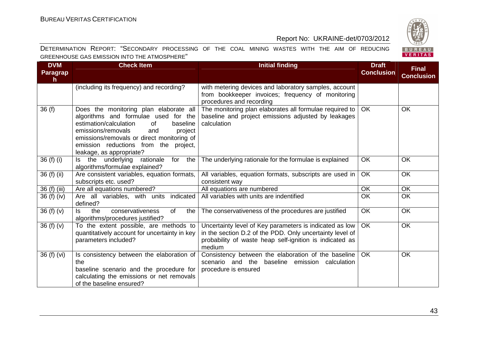

| <b>DVM</b><br><b>Paragrap</b><br>h. | <b>Check Item</b>                                                                                                                                                                                                                                                                     | <b>Initial finding</b>                                                                                                                                                                   | <b>Draft</b><br><b>Conclusion</b> | <b>Final</b><br><b>Conclusion</b> |
|-------------------------------------|---------------------------------------------------------------------------------------------------------------------------------------------------------------------------------------------------------------------------------------------------------------------------------------|------------------------------------------------------------------------------------------------------------------------------------------------------------------------------------------|-----------------------------------|-----------------------------------|
|                                     | (including its frequency) and recording?                                                                                                                                                                                                                                              | with metering devices and laboratory samples, account<br>from bookkeeper invoices; frequency of monitoring<br>procedures and recording                                                   |                                   |                                   |
| 36(f)                               | Does the monitoring plan elaborate all<br>algorithms and formulae used for the<br>estimation/calculation<br>baseline<br>of<br>emissions/removals<br>and<br>project<br>emissions/removals or direct monitoring of<br>emission reductions from the project,<br>leakage, as appropriate? | The monitoring plan elaborates all formulae required to<br>baseline and project emissions adjusted by leakages<br>calculation                                                            | <b>OK</b>                         | <b>OK</b>                         |
| 36 (f) (i)                          | underlying<br>the<br>rationale<br>for<br>the<br>ls l<br>algorithms/formulae explained?                                                                                                                                                                                                | The underlying rationale for the formulae is explained                                                                                                                                   | <b>OK</b>                         | <b>OK</b>                         |
| 36 (f) (ii)                         | Are consistent variables, equation formats,<br>subscripts etc. used?                                                                                                                                                                                                                  | All variables, equation formats, subscripts are used in<br>consistent way                                                                                                                | OK                                | OK                                |
| 36 (f) (iii)                        | Are all equations numbered?                                                                                                                                                                                                                                                           | All equations are numbered                                                                                                                                                               | <b>OK</b>                         | OK                                |
| 36 (f) (iv)                         | Are all variables, with units indicated<br>defined?                                                                                                                                                                                                                                   | All variables with units are indentified                                                                                                                                                 | OK                                | OK                                |
| 36(f)(v)                            | the<br>conservativeness<br>ls.<br>of<br>the<br>algorithms/procedures justified?                                                                                                                                                                                                       | The conservativeness of the procedures are justified                                                                                                                                     | OK                                | OK                                |
| 36(f)(v)                            | To the extent possible, are methods to<br>quantitatively account for uncertainty in key<br>parameters included?                                                                                                                                                                       | Uncertainty level of Key parameters is indicated as low<br>in the section D.2 of the PDD. Only uncertainty level of<br>probability of waste heap self-ignition is indicated as<br>medium | <b>OK</b>                         | OK                                |
| 36 (f) (vi)                         | Is consistency between the elaboration of<br>the<br>baseline scenario and the procedure for<br>calculating the emissions or net removals<br>of the baseline ensured?                                                                                                                  | Consistency between the elaboration of the baseline<br>scenario and the baseline emission calculation<br>procedure is ensured                                                            | OK                                | <b>OK</b>                         |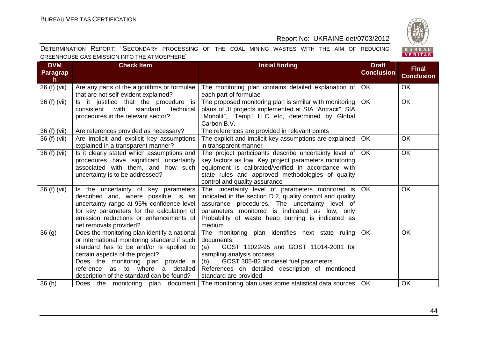

| <b>DVM</b><br><b>Paragrap</b><br>$\mathsf{h}$ | <b>Check Item</b>                                                                                                                                                                                                                                                                                 | <b>Initial finding</b>                                                                                                                                                                                                                                                           | <b>Draft</b><br><b>Conclusion</b> | <b>Final</b><br><b>Conclusion</b> |
|-----------------------------------------------|---------------------------------------------------------------------------------------------------------------------------------------------------------------------------------------------------------------------------------------------------------------------------------------------------|----------------------------------------------------------------------------------------------------------------------------------------------------------------------------------------------------------------------------------------------------------------------------------|-----------------------------------|-----------------------------------|
| 36 (f) (vii)                                  | Are any parts of the algorithms or formulae<br>that are not self-evident explained?                                                                                                                                                                                                               | The monitoring plan contains detailed explanation of<br>each part of formulae                                                                                                                                                                                                    | OK                                | <b>OK</b>                         |
| 36 (f) (vii)                                  | Is it justified that the procedure is<br>with<br>standard<br>technical<br>consistent<br>procedures in the relevant sector?                                                                                                                                                                        | The proposed monitoring plan is similar with monitoring<br>plans of JI projects implemented at SIA "Antracit", SIA<br>"Monolit", "Temp" LLC etc, determined by Global<br>Carbon B.V.                                                                                             | <b>OK</b>                         | <b>OK</b>                         |
| 36 (f) (vii)<br>36 (f) (vii)                  | Are references provided as necessary?<br>Are implicit and explicit key assumptions<br>explained in a transparent manner?                                                                                                                                                                          | The references are provided in relevant points<br>The explicit and implicit key assumptions are explained<br>in transparent manner                                                                                                                                               | <b>OK</b>                         | <b>OK</b>                         |
| 36 (f) (vii)                                  | Is it clearly stated which assumptions and<br>procedures have significant uncertainty<br>associated with them, and how such<br>uncertainty is to be addressed?                                                                                                                                    | The project participants describe uncertainty level of<br>key factors as low. Key project parameters monitoring<br>equipment is calibrated/verified in accordance with<br>state rules and approved methodologies of quality<br>control and quality assurance                     | <b>OK</b>                         | <b>OK</b>                         |
| 36 (f) (vii)                                  | Is the uncertainty of key parameters<br>described and, where possible, is an<br>uncertainty range at 95% confidence level<br>for key parameters for the calculation of<br>emission reductions or enhancements of<br>net removals provided?                                                        | The uncertainty level of parameters monitored is<br>indicated in the section D.2, quality control and quality<br>assurance procedures. The uncertainty level of<br>parameters monitored is indicated as low, only<br>Probability of waste heap burning is indicated as<br>medium | <b>OK</b>                         | OK                                |
| 36(9)                                         | Does the monitoring plan identify a national<br>or international monitoring standard if such<br>standard has to be and/or is applied to<br>certain aspects of the project?<br>Does the monitoring plan provide a<br>reference as to where a detailed<br>description of the standard can be found? | The monitoring plan identifies next state ruling<br>documents:<br>GOST 11022-95 and GOST 11014-2001 for<br>(a)<br>sampling analysis process<br>GOST 305-82 on diesel fuel parameters<br>(b)<br>References on detailed description of mentioned<br>standard are provided          | OK                                | OK                                |
| 36(h)                                         |                                                                                                                                                                                                                                                                                                   | Does the monitoring plan document   The monitoring plan uses some statistical data sources                                                                                                                                                                                       | <b>OK</b>                         | OK                                |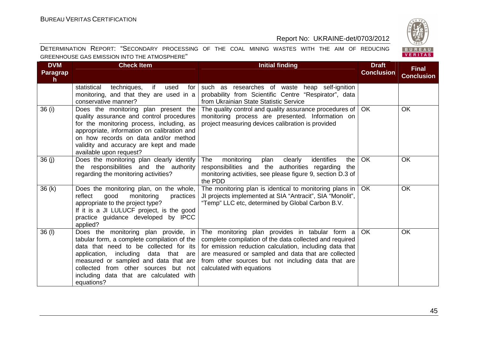

| <b>DVM</b><br>Paragrap<br>$\mathsf{h}$ | <b>Check Item</b>                                                                                                                                                                                                                                                                                               | <b>Initial finding</b>                                                                                                                                                                                                                                                                                         | <b>Draft</b><br><b>Conclusion</b> | <b>Final</b><br><b>Conclusion</b> |
|----------------------------------------|-----------------------------------------------------------------------------------------------------------------------------------------------------------------------------------------------------------------------------------------------------------------------------------------------------------------|----------------------------------------------------------------------------------------------------------------------------------------------------------------------------------------------------------------------------------------------------------------------------------------------------------------|-----------------------------------|-----------------------------------|
|                                        | if<br>statistical<br>techniques,<br>used<br>for<br>monitoring, and that they are used in a<br>conservative manner?                                                                                                                                                                                              | such as researches of waste heap self-ignition<br>probability from Scientific Centre "Respirator", data<br>from Ukrainian State Statistic Service                                                                                                                                                              |                                   |                                   |
| 36 (i)                                 | Does the monitoring plan present the<br>quality assurance and control procedures<br>for the monitoring process, including, as<br>appropriate, information on calibration and<br>on how records on data and/or method<br>validity and accuracy are kept and made<br>available upon request?                      | The quality control and quality assurance procedures of<br>monitoring process are presented. Information on<br>project measuring devices calibration is provided                                                                                                                                               | <b>OK</b>                         | <b>OK</b>                         |
| 36(j)                                  | Does the monitoring plan clearly identify<br>the responsibilities and the authority<br>regarding the monitoring activities?                                                                                                                                                                                     | identifies<br>The<br>monitoring<br>plan<br>clearly<br>the<br>responsibilities and the authorities regarding<br>the<br>monitoring activities, see please figure 9, section D.3 of<br>the PDD                                                                                                                    | <b>OK</b>                         | <b>OK</b>                         |
| 36(k)                                  | Does the monitoring plan, on the whole,<br>reflect<br>good<br>monitoring<br>practices<br>appropriate to the project type?<br>If it is a JI LULUCF project, is the good<br>practice guidance developed by IPCC<br>applied?                                                                                       | The monitoring plan is identical to monitoring plans in<br>JI projects implemented at SIA "Antracit", SIA "Monolit",<br>"Temp" LLC etc, determined by Global Carbon B.V.                                                                                                                                       | <b>OK</b>                         | <b>OK</b>                         |
| 36 (I)                                 | Does the monitoring plan provide, in<br>tabular form, a complete compilation of the<br>data that need to be collected for its<br>application, including data that are<br>measured or sampled and data that are<br>collected from other sources but not<br>including data that are calculated with<br>equations? | The monitoring plan provides in tabular form a<br>complete compilation of the data collected and required<br>for emission reduction calculation, including data that<br>are measured or sampled and data that are collected<br>from other sources but not including data that are<br>calculated with equations | <b>OK</b>                         | <b>OK</b>                         |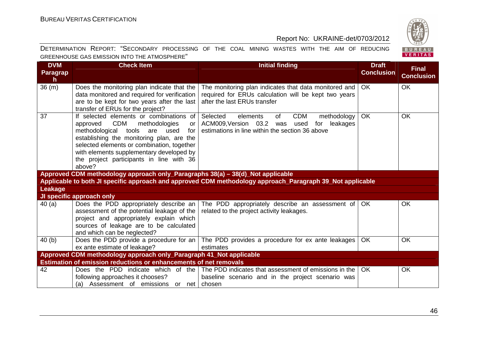

| <b>DVM</b><br><b>Paragrap</b><br>h. | <b>Check Item</b>                                                                                                                                                                                                                                                                                                             | <b>Initial finding</b>                                                                                                                                            | <b>Draft</b><br><b>Conclusion</b> | <b>Final</b><br><b>Conclusion</b> |
|-------------------------------------|-------------------------------------------------------------------------------------------------------------------------------------------------------------------------------------------------------------------------------------------------------------------------------------------------------------------------------|-------------------------------------------------------------------------------------------------------------------------------------------------------------------|-----------------------------------|-----------------------------------|
| 36 (m)                              | Does the monitoring plan indicate that the<br>data monitored and required for verification<br>are to be kept for two years after the last<br>transfer of ERUs for the project?                                                                                                                                                | The monitoring plan indicates that data monitored and<br>required for ERUs calculation will be kept two years<br>after the last ERUs transfer                     | <b>OK</b>                         | <b>OK</b>                         |
| 37                                  | If selected elements or combinations of<br>approved CDM<br>methodologies<br><b>or</b><br>methodological tools<br>are used<br>for<br>establishing the monitoring plan, are the<br>selected elements or combination, together<br>with elements supplementary developed by<br>the project participants in line with 36<br>above? | <b>CDM</b><br>Selected<br>elements<br>of<br>methodology<br>ACM009, Version 03.2 was<br>used<br>leakages<br>for<br>estimations in line within the section 36 above | <b>OK</b>                         | <b>OK</b>                         |
|                                     | Approved CDM methodology approach only_Paragraphs 38(a) - 38(d)_Not applicable                                                                                                                                                                                                                                                |                                                                                                                                                                   |                                   |                                   |
|                                     |                                                                                                                                                                                                                                                                                                                               | Applicable to both JI specific approach and approved CDM methodology approach_Paragraph 39_Not applicable                                                         |                                   |                                   |
| Leakage                             |                                                                                                                                                                                                                                                                                                                               |                                                                                                                                                                   |                                   |                                   |
|                                     | JI specific approach only                                                                                                                                                                                                                                                                                                     |                                                                                                                                                                   |                                   |                                   |
| 40(a)                               | Does the PDD appropriately describe an<br>assessment of the potential leakage of the<br>project and appropriately explain which<br>sources of leakage are to be calculated<br>and which can be neglected?                                                                                                                     | The PDD appropriately describe an assessment of   OK<br>related to the project activity leakages.                                                                 |                                   | <b>OK</b>                         |
| 40(b)                               | Does the PDD provide a procedure for an                                                                                                                                                                                                                                                                                       | The PDD provides a procedure for ex ante leakages                                                                                                                 | <b>OK</b>                         | <b>OK</b>                         |
|                                     | ex ante estimate of leakage?                                                                                                                                                                                                                                                                                                  | estimates                                                                                                                                                         |                                   |                                   |
|                                     | Approved CDM methodology approach only_Paragraph 41_Not applicable                                                                                                                                                                                                                                                            |                                                                                                                                                                   |                                   |                                   |
|                                     | Estimation of emission reductions or enhancements of net removals                                                                                                                                                                                                                                                             |                                                                                                                                                                   |                                   |                                   |
| 42                                  | Does the PDD indicate which of the<br>following approaches it chooses?<br>(a) Assessment of emissions or net chosen                                                                                                                                                                                                           | The PDD indicates that assessment of emissions in the<br>baseline scenario and in the project scenario was                                                        | <b>OK</b>                         | OK                                |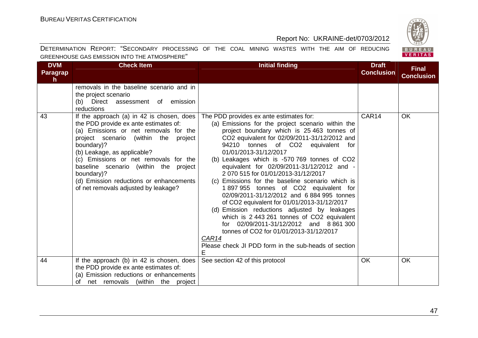

| <b>DVM</b><br><b>Paragrap</b><br>$\mathsf{h}$ | <b>Check Item</b>                                                                                                                                                                                                                                                                                                                                                                                      | <b>Initial finding</b>                                                                                                                                                                                                                                                                                                                                                                                                                                                                                                                                                                                                                                                                                                                                                                                                                             | <b>Draft</b><br><b>Conclusion</b> | <b>Final</b><br><b>Conclusion</b> |
|-----------------------------------------------|--------------------------------------------------------------------------------------------------------------------------------------------------------------------------------------------------------------------------------------------------------------------------------------------------------------------------------------------------------------------------------------------------------|----------------------------------------------------------------------------------------------------------------------------------------------------------------------------------------------------------------------------------------------------------------------------------------------------------------------------------------------------------------------------------------------------------------------------------------------------------------------------------------------------------------------------------------------------------------------------------------------------------------------------------------------------------------------------------------------------------------------------------------------------------------------------------------------------------------------------------------------------|-----------------------------------|-----------------------------------|
|                                               | removals in the baseline scenario and in<br>the project scenario<br>(b) Direct assessment of emission<br>reductions                                                                                                                                                                                                                                                                                    |                                                                                                                                                                                                                                                                                                                                                                                                                                                                                                                                                                                                                                                                                                                                                                                                                                                    |                                   |                                   |
| 43                                            | If the approach (a) in 42 is chosen, does<br>the PDD provide ex ante estimates of:<br>(a) Emissions or net removals for the<br>project scenario (within the<br>project<br>boundary)?<br>(b) Leakage, as applicable?<br>(c) Emissions or net removals for the<br>baseline scenario (within the project<br>boundary)?<br>(d) Emission reductions or enhancements<br>of net removals adjusted by leakage? | The PDD provides ex ante estimates for:<br>(a) Emissions for the project scenario within the<br>project boundary which is 25 463 tonnes of<br>CO2 equivalent for 02/09/2011-31/12/2012 and<br>94210 tonnes of CO2 equivalent for<br>01/01/2013-31/12/2017<br>(b) Leakages which is -570 769 tonnes of CO2<br>equivalent for 02/09/2011-31/12/2012 and -<br>2 070 515 for 01/01/2013-31/12/2017<br>(c) Emissions for the baseline scenario which is<br>1897955 tonnes of CO2 equivalent for<br>02/09/2011-31/12/2012 and 6 884 995 tonnes<br>of CO2 equivalent for 01/01/2013-31/12/2017<br>(d) Emission reductions adjusted by leakages<br>which is 2 443 261 tonnes of CO2 equivalent<br>for 02/09/2011-31/12/2012 and 8 861 300<br>tonnes of CO2 for 01/01/2013-31/12/2017<br>CAR14<br>Please check JI PDD form in the sub-heads of section<br>E | CAR14                             | <b>OK</b>                         |
| 44                                            | If the approach (b) in 42 is chosen, does<br>the PDD provide ex ante estimates of:<br>(a) Emission reductions or enhancements<br>of net removals (within the project                                                                                                                                                                                                                                   | See section 42 of this protocol                                                                                                                                                                                                                                                                                                                                                                                                                                                                                                                                                                                                                                                                                                                                                                                                                    | <b>OK</b>                         | <b>OK</b>                         |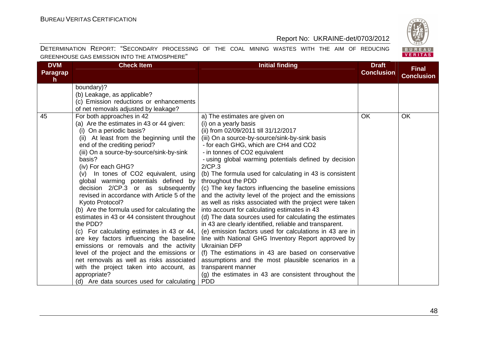BUREAU<br>VERITAS

# Report No: UKRAINE-det/0703/2012

| <b>DVM</b><br>Paragrap | <b>Check Item</b>                            | <b>Initial finding</b>                                   | <b>Draft</b><br><b>Conclusion</b> | <b>Final</b>      |
|------------------------|----------------------------------------------|----------------------------------------------------------|-----------------------------------|-------------------|
| h.                     |                                              |                                                          |                                   | <b>Conclusion</b> |
|                        | boundary)?                                   |                                                          |                                   |                   |
|                        | (b) Leakage, as applicable?                  |                                                          |                                   |                   |
|                        | (c) Emission reductions or enhancements      |                                                          |                                   |                   |
|                        | of net removals adjusted by leakage?         |                                                          |                                   |                   |
| 45                     | For both approaches in 42                    | a) The estimates are given on                            | <b>OK</b>                         | OK                |
|                        | (a) Are the estimates in 43 or 44 given:     | (i) on a yearly basis                                    |                                   |                   |
|                        | (i) On a periodic basis?                     | (ii) from 02/09/2011 till 31/12/2017                     |                                   |                   |
|                        | (ii) At least from the beginning until the   | (iii) On a source-by-source/sink-by-sink basis           |                                   |                   |
|                        | end of the crediting period?                 | - for each GHG, which are CH4 and CO2                    |                                   |                   |
|                        | (iii) On a source-by-source/sink-by-sink     | - in tonnes of CO2 equivalent                            |                                   |                   |
|                        | basis?                                       | - using global warming potentials defined by decision    |                                   |                   |
|                        | (iv) For each GHG?                           | 2/CP.3                                                   |                                   |                   |
|                        | (v) In tones of CO2 equivalent, using        | (b) The formula used for calculating in 43 is consistent |                                   |                   |
|                        | global warming potentials defined by         | throughout the PDD                                       |                                   |                   |
|                        | decision 2/CP.3 or as subsequently           | (c) The key factors influencing the baseline emissions   |                                   |                   |
|                        | revised in accordance with Article 5 of the  | and the activity level of the project and the emissions  |                                   |                   |
|                        | Kyoto Protocol?                              | as well as risks associated with the project were taken  |                                   |                   |
|                        | (b) Are the formula used for calculating the | into account for calculating estimates in 43             |                                   |                   |
|                        | estimates in 43 or 44 consistent throughout  | (d) The data sources used for calculating the estimates  |                                   |                   |
|                        | the PDD?                                     | in 43 are clearly identified, reliable and transparent.  |                                   |                   |
|                        | (c) For calculating estimates in 43 or 44,   | (e) emission factors used for calculations in 43 are in  |                                   |                   |
|                        | are key factors influencing the baseline     | line with National GHG Inventory Report approved by      |                                   |                   |
|                        | emissions or removals and the activity       | <b>Ukrainian DFP</b>                                     |                                   |                   |
|                        | level of the project and the emissions or    | (f) The estimations in 43 are based on conservative      |                                   |                   |
|                        | net removals as well as risks associated     | assumptions and the most plausible scenarios in a        |                                   |                   |
|                        | with the project taken into account, as      | transparent manner                                       |                                   |                   |
|                        | appropriate?                                 | (g) the estimates in 43 are consistent throughout the    |                                   |                   |
|                        | (d) Are data sources used for calculating    | <b>PDD</b>                                               |                                   |                   |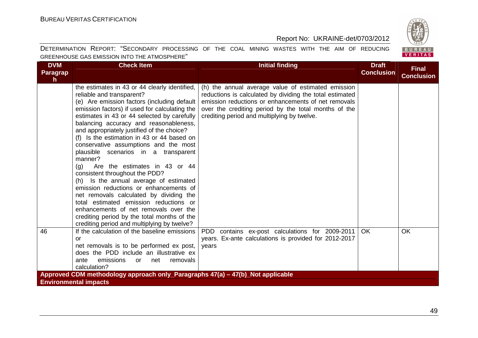BUREAU<br>VERITAS

# Report No: UKRAINE-det/0703/2012

| <b>DVM</b><br>Paragrap                                                         | <b>Check Item</b>                                                                                                                                                                                                                                                                                                                                                                                                                                                                                                                                                                                                                                                                                                                                                                                                                                     | <b>Initial finding</b>                                                                                                                                                                                                                                                       | <b>Draft</b><br><b>Conclusion</b> | <b>Final</b>      |  |  |
|--------------------------------------------------------------------------------|-------------------------------------------------------------------------------------------------------------------------------------------------------------------------------------------------------------------------------------------------------------------------------------------------------------------------------------------------------------------------------------------------------------------------------------------------------------------------------------------------------------------------------------------------------------------------------------------------------------------------------------------------------------------------------------------------------------------------------------------------------------------------------------------------------------------------------------------------------|------------------------------------------------------------------------------------------------------------------------------------------------------------------------------------------------------------------------------------------------------------------------------|-----------------------------------|-------------------|--|--|
| h.                                                                             |                                                                                                                                                                                                                                                                                                                                                                                                                                                                                                                                                                                                                                                                                                                                                                                                                                                       |                                                                                                                                                                                                                                                                              |                                   | <b>Conclusion</b> |  |  |
|                                                                                | the estimates in 43 or 44 clearly identified,<br>reliable and transparent?<br>(e) Are emission factors (including default<br>emission factors) if used for calculating the<br>estimates in 43 or 44 selected by carefully<br>balancing accuracy and reasonableness,<br>and appropriately justified of the choice?<br>(f) Is the estimation in 43 or 44 based on<br>conservative assumptions and the most<br>plausible scenarios in a transparent<br>manner?<br>Are the estimates in 43 or 44<br>(q)<br>consistent throughout the PDD?<br>(h) Is the annual average of estimated<br>emission reductions or enhancements of<br>net removals calculated by dividing the<br>total estimated emission reductions or<br>enhancements of net removals over the<br>crediting period by the total months of the<br>crediting period and multiplying by twelve? | (h) the annual average value of estimated emission<br>reductions is calculated by dividing the total estimated<br>emission reductions or enhancements of net removals<br>over the crediting period by the total months of the<br>crediting period and multiplying by twelve. |                                   |                   |  |  |
| 46                                                                             | If the calculation of the baseline emissions<br>or<br>net removals is to be performed ex post,<br>does the PDD include an illustrative ex<br>emissions<br>removals<br>ante<br>net<br>or                                                                                                                                                                                                                                                                                                                                                                                                                                                                                                                                                                                                                                                               | PDD<br>contains ex-post calculations for 2009-2011<br>years. Ex-ante calculations is provided for 2012-2017<br>years                                                                                                                                                         | <b>OK</b>                         | OK                |  |  |
|                                                                                | calculation?                                                                                                                                                                                                                                                                                                                                                                                                                                                                                                                                                                                                                                                                                                                                                                                                                                          |                                                                                                                                                                                                                                                                              |                                   |                   |  |  |
| Approved CDM methodology approach only_Paragraphs 47(a) - 47(b)_Not applicable |                                                                                                                                                                                                                                                                                                                                                                                                                                                                                                                                                                                                                                                                                                                                                                                                                                                       |                                                                                                                                                                                                                                                                              |                                   |                   |  |  |
| <b>Environmental impacts</b>                                                   |                                                                                                                                                                                                                                                                                                                                                                                                                                                                                                                                                                                                                                                                                                                                                                                                                                                       |                                                                                                                                                                                                                                                                              |                                   |                   |  |  |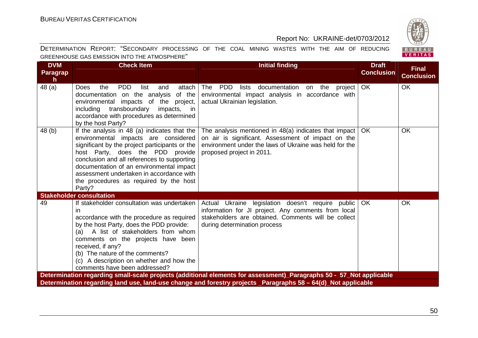

| <b>DVM</b><br>Paragrap<br>h | <b>Check Item</b>                                                                                                                                                                                                                                                                                                                                                     | <b>Initial finding</b>                                                                                                                                                                                                               | <b>Draft</b><br><b>Conclusion</b> | <b>Final</b><br><b>Conclusion</b> |
|-----------------------------|-----------------------------------------------------------------------------------------------------------------------------------------------------------------------------------------------------------------------------------------------------------------------------------------------------------------------------------------------------------------------|--------------------------------------------------------------------------------------------------------------------------------------------------------------------------------------------------------------------------------------|-----------------------------------|-----------------------------------|
| 48 (a)                      | <b>PDD</b><br>the<br>list<br>attach<br>Does<br>and<br>documentation on the analysis<br>of the<br>environmental impacts of the project,<br>transboundary<br>including<br>impacts, in<br>accordance with procedures as determined<br>by the host Party?                                                                                                                 | PDD<br>The<br>documentation on<br>lists<br>the<br>project  <br>environmental impact analysis in accordance with<br>actual Ukrainian legislation.                                                                                     | <b>OK</b>                         | OK                                |
| 48 (b)                      | If the analysis in 48 (a) indicates that the<br>environmental impacts are considered<br>significant by the project participants or the<br>host Party, does the PDD provide<br>conclusion and all references to supporting<br>documentation of an environmental impact<br>assessment undertaken in accordance with<br>the procedures as required by the host<br>Party? | The analysis mentioned in $48(a)$ indicates that impact<br>on air is significant. Assessment of impact on the<br>environment under the laws of Ukraine was held for the<br>proposed project in 2011.                                 | <b>OK</b>                         | <b>OK</b>                         |
|                             | <b>Stakeholder consultation</b>                                                                                                                                                                                                                                                                                                                                       |                                                                                                                                                                                                                                      |                                   |                                   |
| 49                          | If stakeholder consultation was undertaken<br>ın<br>accordance with the procedure as required<br>by the host Party, does the PDD provide:<br>(a) A list of stakeholders from whom<br>comments on the projects have been<br>received, if any?<br>(b) The nature of the comments?<br>(c) A description on whether and how the<br>comments have been addressed?          | Actual Ukraine legislation doesn't require public<br>information for JI project. Any comments from local<br>stakeholders are obtained. Comments will be collect<br>during determination process                                      | <b>OK</b>                         | <b>OK</b>                         |
|                             |                                                                                                                                                                                                                                                                                                                                                                       | Determination regarding small-scale projects (additional elements for assessment)_Paragraphs 50 - 57_Not applicable<br>Determination regarding land use, land-use change and forestry projects _Paragraphs 58 - 64(d)_Not applicable |                                   |                                   |
|                             |                                                                                                                                                                                                                                                                                                                                                                       |                                                                                                                                                                                                                                      |                                   |                                   |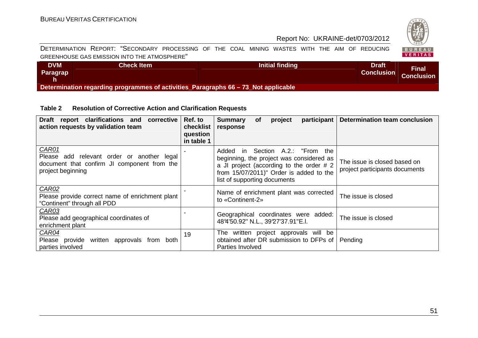

DETERMINATION REPORT: "SECONDARY PROCESSING OF THE COAL MINING WASTES WITH THE AIM OF REDUCING GREENHOUSE GAS EMISSION INTO THE ATMOSPHERE"

| <b>DVM</b><br><b>Paragrap</b>                                                      | <b>Check Item</b> | Initial finding | <b>Draft</b><br><b>Conclusion</b> | Final<br><b>Conclusion</b> |  |
|------------------------------------------------------------------------------------|-------------------|-----------------|-----------------------------------|----------------------------|--|
| Determination regarding programmes of activities_Paragraphs 66 - 73_Not applicable |                   |                 |                                   |                            |  |

#### **Table 2 Resolution of Corrective Action and Clarification Requests**

| Draft report clarifications and<br>corrective<br>action requests by validation team                                     | Ref. to<br>checklist<br>question<br>in table 1 | participant<br><b>Summary</b><br><b>of</b><br>project<br>response                                                                                                                                             | <b>Determination team conclusion</b>                           |
|-------------------------------------------------------------------------------------------------------------------------|------------------------------------------------|---------------------------------------------------------------------------------------------------------------------------------------------------------------------------------------------------------------|----------------------------------------------------------------|
| CAR01<br>Please add relevant order or another legal<br>document that confirm JI component from the<br>project beginning |                                                | Section A.2.: "From the<br>Added<br>in l<br>beginning, the project was considered as<br>a JI project (according to the order $# 2$<br>from 15/07/2011)" Order is added to the<br>list of supporting documents | The issue is closed based on<br>project participants documents |
| CAR02<br>Please provide correct name of enrichment plant<br>"Continent" through all PDD                                 |                                                | Name of enrichment plant was corrected<br>to «Continent-2»                                                                                                                                                    | The issue is closed                                            |
| CAR03<br>Please add geographical coordinates of<br>enrichment plant                                                     |                                                | Geographical coordinates were added:<br>48°4'50.92" N.L., 39°27'37.91"E.l.                                                                                                                                    | The issue is closed                                            |
| CAR04<br>Please provide written approvals from both<br>parties involved                                                 | 19                                             | The written project approvals will be<br>obtained after DR submission to DFPs of  <br>Parties Involved                                                                                                        | Pending                                                        |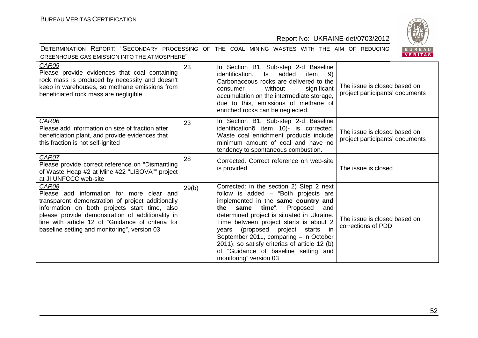



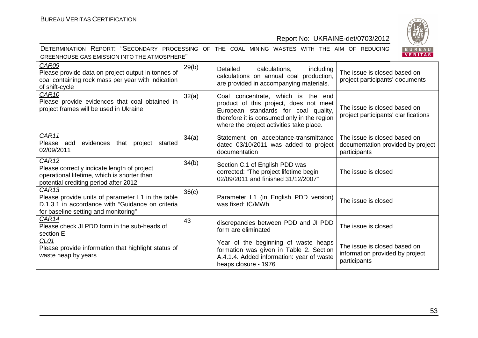

| <b>CAR09</b><br>Please provide data on project output in tonnes of<br>coal containing rock mass per year with indication<br>of shift-cycle                         | 29(b) | including<br>Detailed<br>calculations,<br>calculations on annual coal production,<br>are provided in accompanying materials.                                                                                    | The issue is closed based on<br>project participants' documents                   |
|--------------------------------------------------------------------------------------------------------------------------------------------------------------------|-------|-----------------------------------------------------------------------------------------------------------------------------------------------------------------------------------------------------------------|-----------------------------------------------------------------------------------|
| CAR <sub>10</sub><br>Please provide evidences that coal obtained in<br>project frames will be used in Ukraine                                                      | 32(a) | Coal concentrate, which is the end<br>product of this project, does not meet<br>European standards for coal quality,<br>therefore it is consumed only in the region<br>where the project activities take place. | The issue is closed based on<br>project participants' clarifications              |
| CAR11<br>Please add evidences<br>that project started<br>02/09/2011                                                                                                | 34(a) | Statement on acceptance-transmittance<br>dated 03/10/2011 was added to project<br>documentation                                                                                                                 | The issue is closed based on<br>documentation provided by project<br>participants |
| CAR <sub>12</sub><br>Please correctly indicate length of project<br>operational lifetime, which is shorter than<br>potential crediting period after 2012           | 34(b) | Section C.1 of English PDD was<br>corrected: "The project lifetime begin<br>02/09/2011 and finished 31/12/2007"                                                                                                 | The issue is closed                                                               |
| CAR <sub>13</sub><br>Please provide units of parameter L1 in the table<br>D.1.3.1 in accordance with "Guidance on criteria<br>for baseline setting and monitoring" | 36(c) | Parameter L1 (in English PDD version)<br>was fixed: tC/MWh                                                                                                                                                      | The issue is closed                                                               |
| CAR14<br>Please check JI PDD form in the sub-heads of<br>section E                                                                                                 | 43    | discrepancies between PDD and JI PDD<br>form are eliminated                                                                                                                                                     | The issue is closed                                                               |
| CL <sub>01</sub><br>Please provide information that highlight status of<br>waste heap by years                                                                     |       | Year of the beginning of waste heaps<br>formation was given in Table 2. Section<br>A.4.1.4. Added information: year of waste<br>heaps closure - 1976                                                            | The issue is closed based on<br>information provided by project<br>participants   |